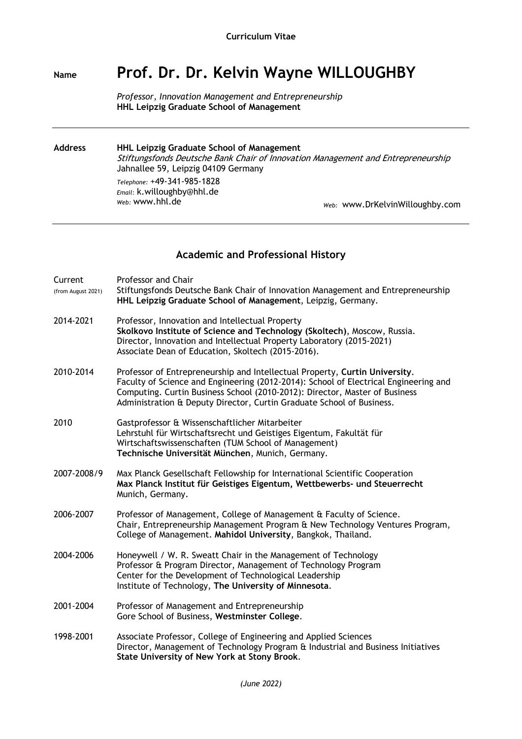# **Name Prof. Dr. Dr. Kelvin Wayne WILLOUGHBY**

*Professor, Innovation Management and Entrepreneurship* **HHL Leipzig Graduate School of Management**

**Address HHL Leipzig Graduate School of Management** Stiftungsfonds Deutsche Bank Chair of Innovation Management and Entrepreneurship Jahnallee 59, Leipzig 04109 Germany *Telephone:* +49-341-985-1828 *Email:* k.willoughby@hhl.de *Web:* www.hhl.de *Web:* www.DrKelvinWilloughby.com

#### **Academic and Professional History**

| Current<br>(from August 2021) | <b>Professor and Chair</b><br>Stiftungsfonds Deutsche Bank Chair of Innovation Management and Entrepreneurship<br>HHL Leipzig Graduate School of Management, Leipzig, Germany.                                                                                                                                              |
|-------------------------------|-----------------------------------------------------------------------------------------------------------------------------------------------------------------------------------------------------------------------------------------------------------------------------------------------------------------------------|
| 2014-2021                     | Professor, Innovation and Intellectual Property<br>Skolkovo Institute of Science and Technology (Skoltech), Moscow, Russia.<br>Director, Innovation and Intellectual Property Laboratory (2015-2021)<br>Associate Dean of Education, Skoltech (2015-2016).                                                                  |
| 2010-2014                     | Professor of Entrepreneurship and Intellectual Property, Curtin University.<br>Faculty of Science and Engineering (2012-2014): School of Electrical Engineering and<br>Computing. Curtin Business School (2010-2012): Director, Master of Business<br>Administration & Deputy Director, Curtin Graduate School of Business. |
| 2010                          | Gastprofessor & Wissenschaftlicher Mitarbeiter<br>Lehrstuhl für Wirtschaftsrecht und Geistiges Eigentum, Fakultät für<br>Wirtschaftswissenschaften (TUM School of Management)<br>Technische Universität München, Munich, Germany.                                                                                           |
| 2007-2008/9                   | Max Planck Gesellschaft Fellowship for International Scientific Cooperation<br>Max Planck Institut für Geistiges Eigentum, Wettbewerbs- und Steuerrecht<br>Munich, Germany.                                                                                                                                                 |
| 2006-2007                     | Professor of Management, College of Management & Faculty of Science.<br>Chair, Entrepreneurship Management Program & New Technology Ventures Program,<br>College of Management. Mahidol University, Bangkok, Thailand.                                                                                                      |
| 2004-2006                     | Honeywell / W. R. Sweatt Chair in the Management of Technology<br>Professor & Program Director, Management of Technology Program<br>Center for the Development of Technological Leadership<br>Institute of Technology, The University of Minnesota.                                                                         |
| 2001-2004                     | Professor of Management and Entrepreneurship<br>Gore School of Business, Westminster College.                                                                                                                                                                                                                               |
| 1998-2001                     | Associate Professor, College of Engineering and Applied Sciences<br>Director, Management of Technology Program & Industrial and Business Initiatives<br>State University of New York at Stony Brook.                                                                                                                        |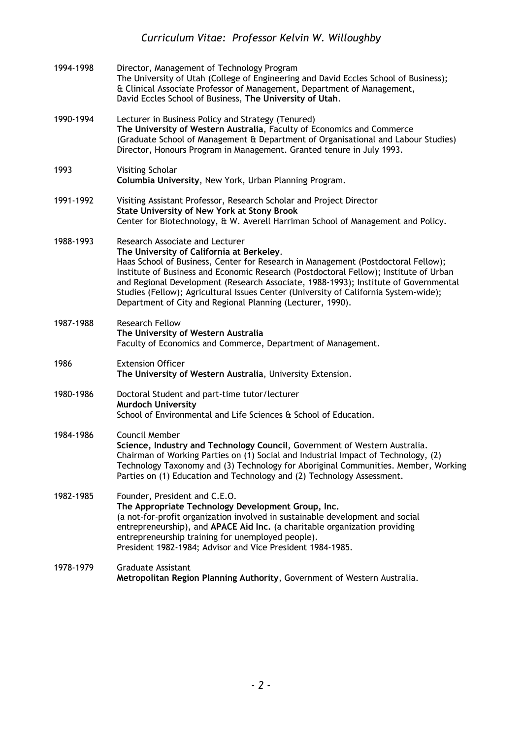| 1994-1998 | Director, Management of Technology Program<br>The University of Utah (College of Engineering and David Eccles School of Business);<br>& Clinical Associate Professor of Management, Department of Management,<br>David Eccles School of Business, The University of Utah.                                                                                                                                                                                                                               |
|-----------|---------------------------------------------------------------------------------------------------------------------------------------------------------------------------------------------------------------------------------------------------------------------------------------------------------------------------------------------------------------------------------------------------------------------------------------------------------------------------------------------------------|
| 1990-1994 | Lecturer in Business Policy and Strategy (Tenured)<br>The University of Western Australia, Faculty of Economics and Commerce<br>(Graduate School of Management & Department of Organisational and Labour Studies)<br>Director, Honours Program in Management. Granted tenure in July 1993.                                                                                                                                                                                                              |
| 1993      | Visiting Scholar<br>Columbia University, New York, Urban Planning Program.                                                                                                                                                                                                                                                                                                                                                                                                                              |
| 1991-1992 | Visiting Assistant Professor, Research Scholar and Project Director<br><b>State University of New York at Stony Brook</b><br>Center for Biotechnology, & W. Averell Harriman School of Management and Policy.                                                                                                                                                                                                                                                                                           |
| 1988-1993 | Research Associate and Lecturer<br>The University of California at Berkeley.<br>Haas School of Business, Center for Research in Management (Postdoctoral Fellow);<br>Institute of Business and Economic Research (Postdoctoral Fellow); Institute of Urban<br>and Regional Development (Research Associate, 1988-1993); Institute of Governmental<br>Studies (Fellow); Agricultural Issues Center (University of California System-wide);<br>Department of City and Regional Planning (Lecturer, 1990). |
| 1987-1988 | <b>Research Fellow</b><br>The University of Western Australia<br>Faculty of Economics and Commerce, Department of Management.                                                                                                                                                                                                                                                                                                                                                                           |
| 1986      | <b>Extension Officer</b><br>The University of Western Australia, University Extension.                                                                                                                                                                                                                                                                                                                                                                                                                  |
| 1980-1986 | Doctoral Student and part-time tutor/lecturer<br><b>Murdoch University</b><br>School of Environmental and Life Sciences & School of Education.                                                                                                                                                                                                                                                                                                                                                          |
| 1984-1986 | Council Member<br>Science, Industry and Technology Council, Government of Western Australia.<br>Chairman of Working Parties on (1) Social and Industrial Impact of Technology, (2)<br>Technology Taxonomy and (3) Technology for Aboriginal Communities. Member, Working<br>Parties on (1) Education and Technology and (2) Technology Assessment.                                                                                                                                                      |
| 1982-1985 | Founder, President and C.E.O.<br>The Appropriate Technology Development Group, Inc.<br>(a not-for-profit organization involved in sustainable development and social<br>entrepreneurship), and APACE Aid Inc. (a charitable organization providing<br>entrepreneurship training for unemployed people).<br>President 1982-1984; Advisor and Vice President 1984-1985.                                                                                                                                   |
| 1978-1979 | <b>Graduate Assistant</b><br>Metropolitan Region Planning Authority, Government of Western Australia.                                                                                                                                                                                                                                                                                                                                                                                                   |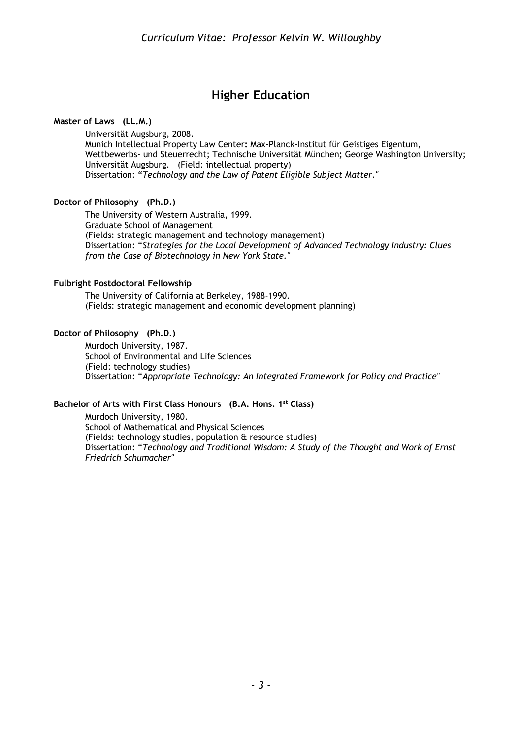## **Higher Education**

**Master of Laws (LL.M.)** 

Universität Augsburg, 2008. Munich Intellectual Property Law Center**:** Max-Planck-Institut für Geistiges Eigentum, Wettbewerbs- und Steuerrecht; Technische Universität München**;** George Washington University; Universität Augsburg. (Field: intellectual property) Dissertation: "*Technology and the Law of Patent Eligible Subject Matter."*

#### **Doctor of Philosophy (Ph.D.)**

The University of Western Australia, 1999. Graduate School of Management (Fields: strategic management and technology management) Dissertation: "*Strategies for the Local Development of Advanced Technology Industry: Clues from the Case of Biotechnology in New York State."*

#### **Fulbright Postdoctoral Fellowship**

The University of California at Berkeley, 1988-1990. (Fields: strategic management and economic development planning)

#### **Doctor of Philosophy (Ph.D.)**

Murdoch University, 1987. School of Environmental and Life Sciences (Field: technology studies) Dissertation: "*Appropriate Technology: An Integrated Framework for Policy and Practice"*

#### **Bachelor of Arts with First Class Honours (B.A. Hons. 1st Class)**

Murdoch University, 1980. School of Mathematical and Physical Sciences (Fields: technology studies, population & resource studies) Dissertation: "*Technology and Traditional Wisdom: A Study of the Thought and Work of Ernst Friedrich Schumacher"*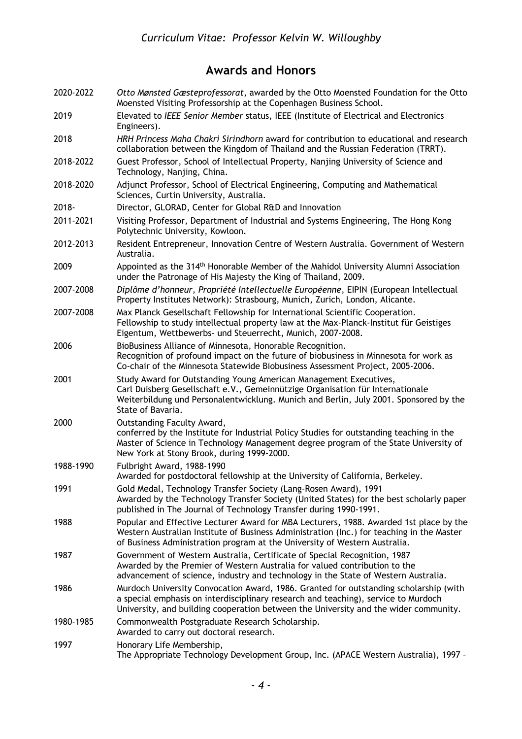# **Awards and Honors**

| 2020-2022 | Otto Mønsted Gæsteprofessorat, awarded by the Otto Moensted Foundation for the Otto<br>Moensted Visiting Professorship at the Copenhagen Business School.                                                                                                           |
|-----------|---------------------------------------------------------------------------------------------------------------------------------------------------------------------------------------------------------------------------------------------------------------------|
| 2019      | Elevated to IEEE Senior Member status, IEEE (Institute of Electrical and Electronics<br>Engineers).                                                                                                                                                                 |
| 2018      | HRH Princess Maha Chakri Sirindhorn award for contribution to educational and research<br>collaboration between the Kingdom of Thailand and the Russian Federation (TRRT).                                                                                          |
| 2018-2022 | Guest Professor, School of Intellectual Property, Nanjing University of Science and<br>Technology, Nanjing, China.                                                                                                                                                  |
| 2018-2020 | Adjunct Professor, School of Electrical Engineering, Computing and Mathematical<br>Sciences, Curtin University, Australia.                                                                                                                                          |
| 2018-     | Director, GLORAD, Center for Global R&D and Innovation                                                                                                                                                                                                              |
| 2011-2021 | Visiting Professor, Department of Industrial and Systems Engineering, The Hong Kong<br>Polytechnic University, Kowloon.                                                                                                                                             |
| 2012-2013 | Resident Entrepreneur, Innovation Centre of Western Australia. Government of Western<br>Australia.                                                                                                                                                                  |
| 2009      | Appointed as the 314 <sup>th</sup> Honorable Member of the Mahidol University Alumni Association<br>under the Patronage of His Majesty the King of Thailand, 2009.                                                                                                  |
| 2007-2008 | Diplôme d'honneur, Propriété Intellectuelle Européenne, EIPIN (European Intellectual<br>Property Institutes Network): Strasbourg, Munich, Zurich, London, Alicante.                                                                                                 |
| 2007-2008 | Max Planck Gesellschaft Fellowship for International Scientific Cooperation.<br>Fellowship to study intellectual property law at the Max-Planck-Institut für Geistiges<br>Eigentum, Wettbewerbs- und Steuerrecht, Munich, 2007-2008.                                |
| 2006      | BioBusiness Alliance of Minnesota, Honorable Recognition.<br>Recognition of profound impact on the future of biobusiness in Minnesota for work as<br>Co-chair of the Minnesota Statewide Biobusiness Assessment Project, 2005-2006.                                 |
| 2001      | Study Award for Outstanding Young American Management Executives,<br>Carl Duisberg Gesellschaft e.V., Gemeinnützige Organisation für Internationale<br>Weiterbildung und Personalentwicklung. Munich and Berlin, July 2001. Sponsored by the<br>State of Bavaria.   |
| 2000      | Outstanding Faculty Award,<br>conferred by the Institute for Industrial Policy Studies for outstanding teaching in the<br>Master of Science in Technology Management degree program of the State University of<br>New York at Stony Brook, during 1999-2000.        |
| 1988-1990 | Fulbright Award, 1988-1990<br>Awarded for postdoctoral fellowship at the University of California, Berkeley.                                                                                                                                                        |
| 1991      | Gold Medal, Technology Transfer Society (Lang-Rosen Award), 1991<br>Awarded by the Technology Transfer Society (United States) for the best scholarly paper<br>published in The Journal of Technology Transfer during 1990-1991.                                    |
| 1988      | Popular and Effective Lecturer Award for MBA Lecturers, 1988. Awarded 1st place by the<br>Western Australian Institute of Business Administration (Inc.) for teaching in the Master<br>of Business Administration program at the University of Western Australia.   |
| 1987      | Government of Western Australia, Certificate of Special Recognition, 1987<br>Awarded by the Premier of Western Australia for valued contribution to the<br>advancement of science, industry and technology in the State of Western Australia.                       |
| 1986      | Murdoch University Convocation Award, 1986. Granted for outstanding scholarship (with<br>a special emphasis on interdisciplinary research and teaching), service to Murdoch<br>University, and building cooperation between the University and the wider community. |
| 1980-1985 | Commonwealth Postgraduate Research Scholarship.<br>Awarded to carry out doctoral research.                                                                                                                                                                          |
| 1997      | Honorary Life Membership,<br>The Appropriate Technology Development Group, Inc. (APACE Western Australia), 1997 -                                                                                                                                                   |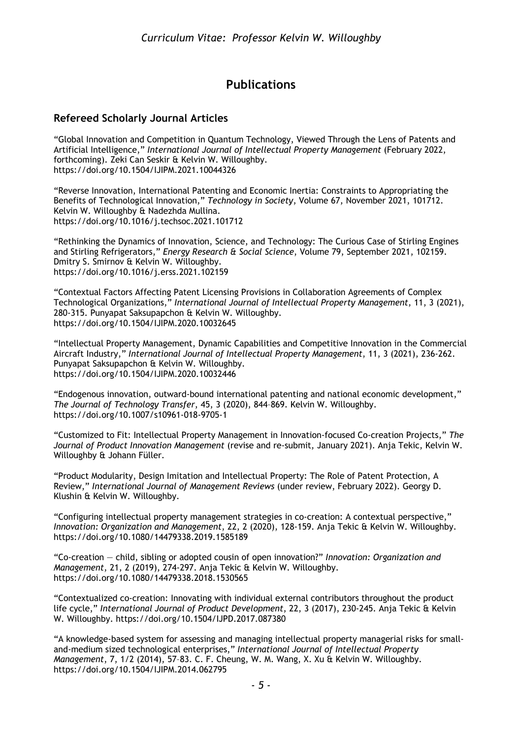## **Publications**

### **Refereed Scholarly Journal Articles**

"Global Innovation and Competition in Quantum Technology, Viewed Through the Lens of Patents and Artificial Intelligence," *International Journal of Intellectual Property Management* (February 2022, forthcoming). Zeki Can Seskir & Kelvin W. Willoughby. https://doi.org/10.1504/IJIPM.2021.10044326

"Reverse Innovation, International Patenting and Economic Inertia: Constraints to Appropriating the Benefits of Technological Innovation," *Technology in Society*, Volume 67, November 2021, 101712. Kelvin W. Willoughby & Nadezhda Mullina. https://doi.org/10.1016/j.techsoc.2021.101712

"Rethinking the Dynamics of Innovation, Science, and Technology: The Curious Case of Stirling Engines and Stirling Refrigerators," *Energy Research & Social Science*, Volume 79, September 2021, 102159. Dmitry S. Smirnov & Kelvin W. Willoughby. https://doi.org/10.1016/j.erss.2021.102159

"Contextual Factors Affecting Patent Licensing Provisions in Collaboration Agreements of Complex Technological Organizations," *International Journal of Intellectual Property Management*, 11, 3 (2021), 280-315. Punyapat Saksupapchon & Kelvin W. Willoughby. https://doi.org/10.1504/IJIPM.2020.10032645

"Intellectual Property Management, Dynamic Capabilities and Competitive Innovation in the Commercial Aircraft Industry," *International Journal of Intellectual Property Management*, 11, 3 (2021), 236-262. Punyapat Saksupapchon & Kelvin W. Willoughby. https://doi.org/10.1504/IJIPM.2020.10032446

"Endogenous innovation, outward-bound international patenting and national economic development," *The Journal of Technology Transfer*, 45, 3 (2020), 844–869. Kelvin W. Willoughby. https://doi.org/10.1007/s10961-018-9705-1

"Customized to Fit: Intellectual Property Management in Innovation-focused Co-creation Projects," *The Journal of Product Innovation Management* (revise and re-submit, January 2021). Anja Tekic, Kelvin W. Willoughby & Johann Füller.

"Product Modularity, Design Imitation and Intellectual Property: The Role of Patent Protection, A Review," *International Journal of Management Reviews* (under review, February 2022). Georgy D. Klushin & Kelvin W. Willoughby.

"Configuring intellectual property management strategies in co-creation: A contextual perspective," *Innovation: Organization and Management*, 22, 2 (2020), 128-159. Anja Tekic & Kelvin W. Willoughby. https://doi.org/10.1080/14479338.2019.1585189

"Co-creation — child, sibling or adopted cousin of open innovation?" *Innovation: Organization and Management*, 21, 2 (2019), 274-297. Anja Tekic & Kelvin W. Willoughby. https://doi.org/10.1080/14479338.2018.1530565

"Contextualized co-creation: Innovating with individual external contributors throughout the product life cycle," *International Journal of Product Development*, 22, 3 (2017), 230-245. Anja Tekic & Kelvin W. Willoughby. https://doi.org/10.1504/IJPD.2017.087380

"A knowledge-based system for assessing and managing intellectual property managerial risks for smalland-medium sized technological enterprises," *International Journal of Intellectual Property Management*, 7, 1/2 (2014), 57–83. C. F. Cheung, W. M. Wang, X. Xu & Kelvin W. Willoughby. https://doi.org/10.1504/IJIPM.2014.062795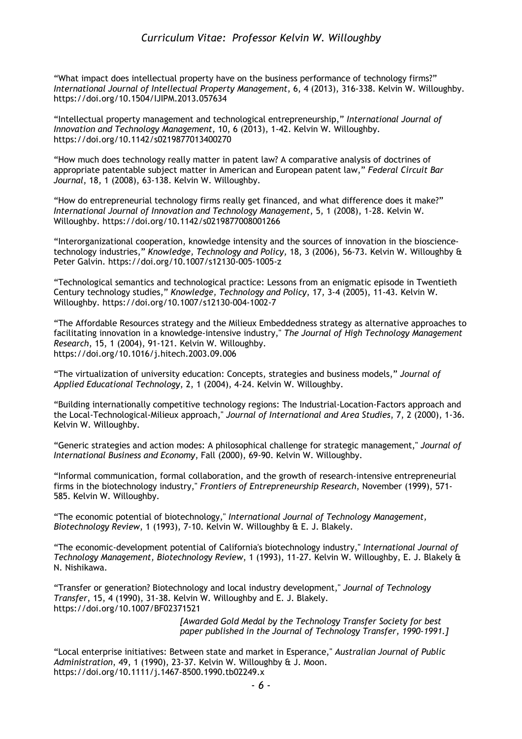"What impact does intellectual property have on the business performance of technology firms?" *International Journal of Intellectual Property Management*, 6, 4 (2013), 316-338. Kelvin W. Willoughby. https://doi.org/10.1504/IJIPM.2013.057634

"Intellectual property management and technological entrepreneurship," *International Journal of Innovation and Technology Management,* 10, 6 (2013), 1-42. Kelvin W. Willoughby. https://doi.org/10.1142/s0219877013400270

"How much does technology really matter in patent law? A comparative analysis of doctrines of appropriate patentable subject matter in American and European patent law," *Federal Circuit Bar Journal*, 18, 1 (2008), 63-138. Kelvin W. Willoughby.

"How do entrepreneurial technology firms really get financed, and what difference does it make?" *International Journal of Innovation and Technology Management*, 5, 1 (2008), 1-28. Kelvin W. Willoughby. https://doi.org/10.1142/s0219877008001266

"Interorganizational cooperation, knowledge intensity and the sources of innovation in the biosciencetechnology industries," *Knowledge, Technology and Policy,* 18, 3 (2006), 56-73. Kelvin W. Willoughby & Peter Galvin. https://doi.org/10.1007/s12130-005-1005-z

"Technological semantics and technological practice: Lessons from an enigmatic episode in Twentieth Century technology studies," *Knowledge, Technology and Policy*, 17, 3-4 (2005), 11-43. Kelvin W. Willoughby. https://doi.org/10.1007/s12130-004-1002-7

"The Affordable Resources strategy and the Milieux Embeddedness strategy as alternative approaches to facilitating innovation in a knowledge-intensive industry," *The Journal of High Technology Management Research*, 15, 1 (2004), 91-121. Kelvin W. Willoughby. https://doi.org/10.1016/j.hitech.2003.09.006

"The virtualization of university education: Concepts, strategies and business models," *Journal of Applied Educational Technology*, 2, 1 (2004), 4-24. Kelvin W. Willoughby.

"Building internationally competitive technology regions: The Industrial-Location-Factors approach and the Local-Technological-Milieux approach," *Journal of International and Area Studies*, 7, 2 (2000), 1-36. Kelvin W. Willoughby.

"Generic strategies and action modes: A philosophical challenge for strategic management," *Journal of International Business and Economy*, Fall (2000), 69-90. Kelvin W. Willoughby.

"Informal communication, formal collaboration, and the growth of research-intensive entrepreneurial firms in the biotechnology industry," *Frontiers of Entrepreneurship Research*, November (1999), 571- 585. Kelvin W. Willoughby.

"The economic potential of biotechnology," *International Journal of Technology Management, Biotechnology Review*, 1 (1993), 7-10. Kelvin W. Willoughby & E. J. Blakely.

"The economic-development potential of California's biotechnology industry," *International Journal of Technology Management, Biotechnology Review*, 1 (1993), 11-27. Kelvin W. Willoughby, E. J. Blakely & N. Nishikawa.

"Transfer or generation? Biotechnology and local industry development," *Journal of Technology Transfer*, 15, 4 (1990), 31-38. Kelvin W. Willoughby and E. J. Blakely. https://doi.org/10.1007/BF02371521

> *[Awarded Gold Medal by the Technology Transfer Society for best paper published in the Journal of Technology Transfer, 1990-1991.]*

"Local enterprise initiatives: Between state and market in Esperance," *Australian Journal of Public Administration*, 49, 1 (1990), 23-37. Kelvin W. Willoughby & J. Moon. https://doi.org/10.1111/j.1467-8500.1990.tb02249.x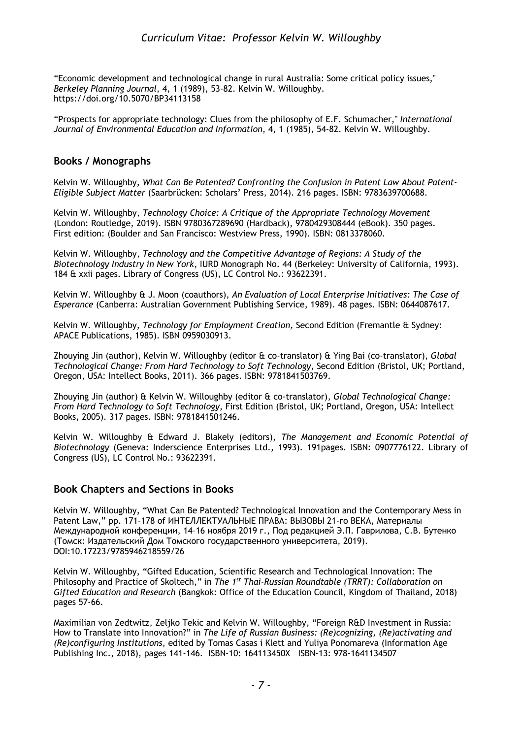"Economic development and technological change in rural Australia: Some critical policy issues," *Berkeley Planning Journal*, 4, 1 (1989), 53-82. Kelvin W. Willoughby. https://doi.org/10.5070/BP34113158

"Prospects for appropriate technology: Clues from the philosophy of E.F. Schumacher," *International Journal of Environmental Education and Information*, 4, 1 (1985), 54-82. Kelvin W. Willoughby.

#### **Books / Monographs**

Kelvin W. Willoughby, *What Can Be Patented? Confronting the Confusion in Patent Law About Patent-Eligible Subject Matter* (Saarbrücken: Scholars' Press, 2014). 216 pages. ISBN: 9783639700688.

Kelvin W. Willoughby, *Technology Choice: A Critique of the Appropriate Technology Movement* (London: Routledge, 2019). ISBN 9780367289690 (Hardback), 9780429308444 (eBook). 350 pages. First edition: (Boulder and San Francisco: Westview Press, 1990). ISBN: 0813378060.

Kelvin W. Willoughby, *Technology and the Competitive Advantage of Regions: A Study of the Biotechnology Industry in New York*, IURD Monograph No. 44 (Berkeley: University of California, 1993). 184 & xxii pages. Library of Congress (US), LC Control No.: 93622391.

Kelvin W. Willoughby & J. Moon (coauthors), *An Evaluation of Local Enterprise Initiatives: The Case of Esperance* (Canberra: Australian Government Publishing Service, 1989). 48 pages. ISBN: 0644087617.

Kelvin W. Willoughby, *Technology for Employment Creation,* Second Edition (Fremantle & Sydney: APACE Publications, 1985). ISBN 0959030913.

Zhouying Jin (author), Kelvin W. Willoughby (editor & co-translator) & Ying Bai (co-translator), *Global Technological Change: From Hard Technology to Soft Technology*, Second Edition (Bristol, UK; Portland, Oregon, USA: Intellect Books, 2011). 366 pages. ISBN: 9781841503769.

Zhouying Jin (author) & Kelvin W. Willoughby (editor & co-translator), *Global Technological Change: From Hard Technology to Soft Technology*, First Edition (Bristol, UK; Portland, Oregon, USA: Intellect Books, 2005). 317 pages. ISBN: 9781841501246.

Kelvin W. Willoughby & Edward J. Blakely (editors), *The Management and Economic Potential of Biotechnology* (Geneva: Inderscience Enterprises Ltd., 1993). 191pages. ISBN: 0907776122. Library of Congress (US), LC Control No.: 93622391.

#### **Book Chapters and Sections in Books**

Kelvin W. Willoughby, "What Can Be Patented? Technological Innovation and the Contemporary Mess in Patent Law," pp. 171-178 of ИНТЕЛЛЕКТУАЛЬНЫЕ ПРАВА: ВЫЗОВЫ 21-го ВЕКА, Материалы Международной конференции, 14–16 ноября 2019 г., Под редакцией Э.П. Гаврилова, С.В. Бутенко (Томск: Издательский Дом Томского государственного университета, 2019). DOI:10.17223/9785946218559/26

Kelvin W. Willoughby, "Gifted Education, Scientific Research and Technological Innovation: The Philosophy and Practice of Skoltech," in *The 1st Thai-Russian Roundtable (TRRT): Collaboration on Gifted Education and Research* (Bangkok: Office of the Education Council, Kingdom of Thailand, 2018) pages 57-66.

Maximilian von Zedtwitz, Zeljko Tekic and Kelvin W. Willoughby, "Foreign R&D Investment in Russia: How to Translate into Innovation?" in *The Life of Russian Business: (Re)cognizing, (Re)activating and (Re)configuring Institutions*, edited by Tomas Casas i Klett and Yuliya Ponomareva (Information Age Publishing Inc., 2018), pages 141-146. ISBN-10: 164113450X ISBN-13: 978-1641134507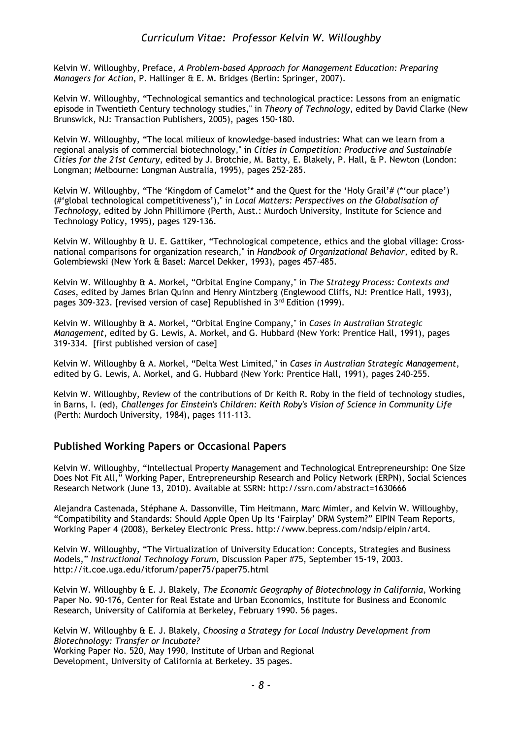Kelvin W. Willoughby, Preface, *A Problem-based Approach for Management Education: Preparing Managers for Action*, P. Hallinger & E. M. Bridges (Berlin: Springer, 2007).

Kelvin W. Willoughby, "Technological semantics and technological practice: Lessons from an enigmatic episode in Twentieth Century technology studies," in *Theory of Technology*, edited by David Clarke (New Brunswick, NJ: Transaction Publishers, 2005), pages 150-180.

Kelvin W. Willoughby, "The local milieux of knowledge-based industries: What can we learn from a regional analysis of commercial biotechnology," in *Cities in Competition: Productive and Sustainable Cities for the 21st Century*, edited by J. Brotchie, M. Batty, E. Blakely, P. Hall, & P. Newton (London: Longman; Melbourne: Longman Australia, 1995), pages 252-285.

Kelvin W. Willoughby, "The 'Kingdom of Camelot'\* and the Quest for the 'Holy Grail'# (\*'our place') (#'global technological competitiveness')," in *Local Matters: Perspectives on the Globalisation of Technology*, edited by John Phillimore (Perth, Aust.: Murdoch University, Institute for Science and Technology Policy, 1995), pages 129-136.

Kelvin W. Willoughby & U. E. Gattiker, "Technological competence, ethics and the global village: Crossnational comparisons for organization research," in *Handbook of Organizational Behavior*, edited by R. Golembiewski (New York & Basel: Marcel Dekker, 1993), pages 457-485.

Kelvin W. Willoughby & A. Morkel, "Orbital Engine Company," in *The Strategy Process: Contexts and Cases*, edited by James Brian Quinn and Henry Mintzberg (Englewood Cliffs, NJ: Prentice Hall, 1993), pages 309-323. [revised version of case] Republished in 3<sup>rd</sup> Edition (1999).

Kelvin W. Willoughby & A. Morkel, "Orbital Engine Company," in *Cases in Australian Strategic Management*, edited by G. Lewis, A. Morkel, and G. Hubbard (New York: Prentice Hall, 1991), pages 319-334. [first published version of case]

Kelvin W. Willoughby & A. Morkel, "Delta West Limited," in *Cases in Australian Strategic Management*, edited by G. Lewis, A. Morkel, and G. Hubbard (New York: Prentice Hall, 1991), pages 240-255.

Kelvin W. Willoughby, Review of the contributions of Dr Keith R. Roby in the field of technology studies, in Barns, I. (ed), *Challenges for Einstein's Children: Keith Roby's Vision of Science in Community Life* (Perth: Murdoch University, 1984), pages 111-113.

### **Published Working Papers or Occasional Papers**

Kelvin W. Willoughby, "Intellectual Property Management and Technological Entrepreneurship: One Size Does Not Fit All," Working Paper, Entrepreneurship Research and Policy Network (ERPN), Social Sciences Research Network (June 13, 2010). Available at SSRN: http://ssrn.com/abstract=1630666

Alejandra Castenada, Stéphane A. Dassonville, Tim Heitmann, Marc Mimler, and Kelvin W. Willoughby, "Compatibility and Standards: Should Apple Open Up Its 'Fairplay' DRM System?" EIPIN Team Reports, Working Paper 4 (2008), Berkeley Electronic Press. http://www.bepress.com/ndsip/eipin/art4.

Kelvin W. Willoughby, "The Virtualization of University Education: Concepts, Strategies and Business Models," *Instructional Technology Forum,* Discussion Paper #75, September 15-19, 2003. http://it.coe.uga.edu/itforum/paper75/paper75.html

Kelvin W. Willoughby & E. J. Blakely, *The Economic Geography of Biotechnology in California*, Working Paper No. 90-176, Center for Real Estate and Urban Economics, Institute for Business and Economic Research, University of California at Berkeley, February 1990. 56 pages.

Kelvin W. Willoughby & E. J. Blakely, *Choosing a Strategy for Local Industry Development from Biotechnology: Transfer or Incubate?* Working Paper No. 520, May 1990, Institute of Urban and Regional Development, University of California at Berkeley. 35 pages.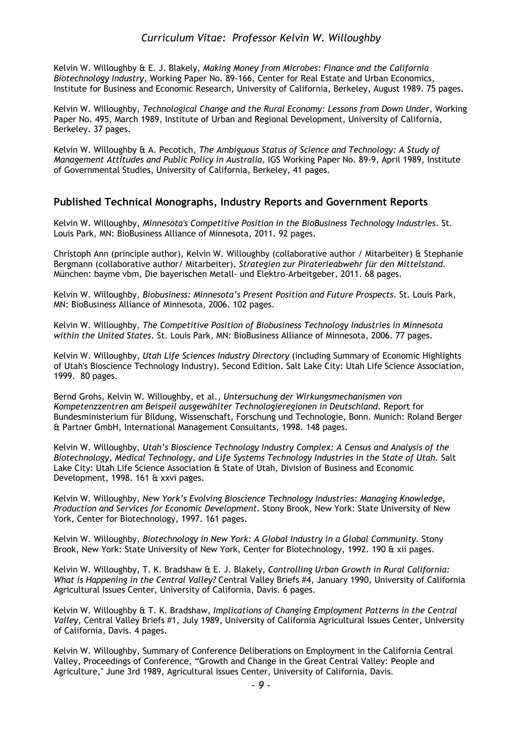Kelvin W. Willoughby & E. J. Blakely, *Making Money from Microbes: Finance and the California Biotechnology Industry,* Working Paper No. 89-166, Center for Real Estate and Urban Economics, Institute for Business and Economic Research, University of California, Berkeley, August 1989. 75 pages.

Kelvin W. Willoughby, *Technological Change and the Rural Economy: Lessons from Down Under,* Working Paper No. 495, March 1989, Institute of Urban and Regional Development, University of California, Berkeley. 37 pages.

Kelvin W. Willoughby & A. Pecotich, *The Ambiguous Status of Science and Technology: A Study of Management Attitudes and Public Policy in Australia,* IGS Working Paper No. 89-9, April 1989, Institute of Governmental Studies, University of California, Berkeley, 41 pages.

#### **Published Technical Monographs, Industry Reports and Government Reports**

Kelvin W. Willoughby, *Minnesota's Competitive Position in the BioBusiness Technology Industries*. St. Louis Park, MN: BioBusiness Alliance of Minnesota, 2011. 92 pages.

Christoph Ann (principle author), Kelvin W. Willoughby (collaborative author / Mitarbeiter) & Stephanie Bergmann (collaborative author/ Mitarbeiter), *Strategien zur Piraterieabwehr für den Mittelstand*. München: bayme vbm, Die bayerischen Metall- und Elektro-Arbeitgeber, 2011. 68 pages.

Kelvin W. Willoughby, *Biobusiness: Minnesota's Present Position and Future Prospects*. St. Louis Park, MN: BioBusiness Alliance of Minnesota, 2006. 102 pages.

Kelvin W. Willoughby, *The Competitive Position of Biobusiness Technology Industries in Minnesota within the United States*. St. Louis Park, MN: BioBusiness Alliance of Minnesota, 2006. 77 pages.

Kelvin W. Willoughby, *Utah Life Sciences Industry Directory* (including Summary of Economic Highlights of Utah's Bioscience Technology Industry). Second Edition. Salt Lake City: Utah Life Science Association, 1999. 80 pages.

Bernd Grohs, Kelvin W. Willoughby, et al., *Untersuchung der Wirkungsmechanismen von Kompetenzzentren am Beispeil ausgewählter Technologieregionen in Deutschland.* Report for Bundesministerium für Bildung, Wissenschaft, Forschung und Technologie, Bonn. Munich: Roland Berger & Partner GmbH, International Management Consultants, 1998. 148 pages.

Kelvin W. Willoughby, *Utah's Bioscience Technology Industry Complex: A Census and Analysis of the*  Biotechnology, Medical Technology, and Life Systems Technology Industries in the State of Utah. Salt Lake City: Utah Life Science Association & State of Utah, Division of Business and Economic Development, 1998. 161 & xxvi pages.

Kelvin W. Willoughby, *New York's Evolving Bioscience Technology Industries: Managing Knowledge, Production and Services for Economic Development.* Stony Brook, New York: State University of New York, Center for Biotechnology, 1997. 161 pages.

Kelvin W. Willoughby, *Biotechnology in New York: A Global Industry in a Global Community.* Stony Brook, New York: State University of New York, Center for Biotechnology, 1992. 190 & xii pages.

Kelvin W. Willoughby, T. K. Bradshaw & E. J. Blakely, *Controlling Urban Growth in Rural California: What is Happening in the Central Valley?* Central Valley Briefs #4, January 1990, University of California Agricultural Issues Center, University of California, Davis. 6 pages.

Kelvin W. Willoughby & T. K. Bradshaw, *Implications of Changing Employment Patterns in the Central Valley,* Central Valley Briefs #1, July 1989, University of California Agricultural Issues Center, University of California, Davis. 4 pages.

Kelvin W. Willoughby, Summary of Conference Deliberations on Employment in the California Central Valley, Proceedings of Conference, "Growth and Change in the Great Central Valley: People and Agriculture," June 3rd 1989, Agricultural Issues Center, University of California, Davis.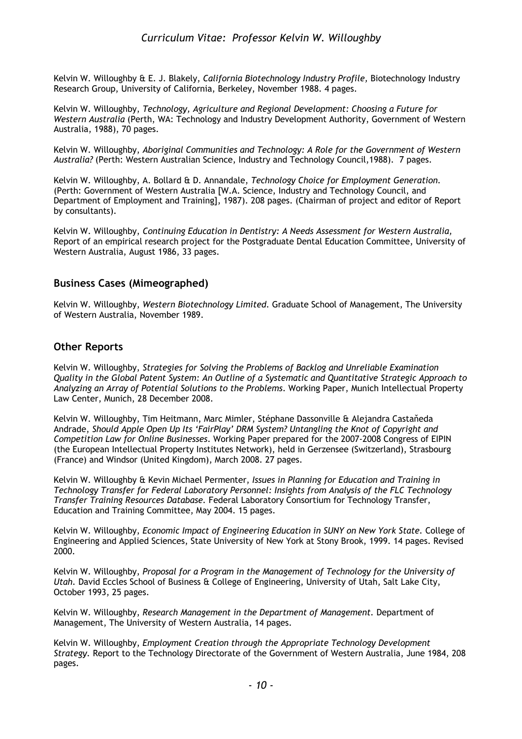Kelvin W. Willoughby & E. J. Blakely, *California Biotechnology Industry Profile,* Biotechnology Industry Research Group, University of California, Berkeley, November 1988. 4 pages.

Kelvin W. Willoughby, *Technology, Agriculture and Regional Development: Choosing a Future for Western Australia* (Perth, WA: Technology and Industry Development Authority, Government of Western Australia, 1988), 70 pages.

Kelvin W. Willoughby, *Aboriginal Communities and Technology: A Role for the Government of Western Australia?* (Perth: Western Australian Science, Industry and Technology Council,1988). 7 pages.

Kelvin W. Willoughby, A. Bollard & D. Annandale, *Technology Choice for Employment Generation.*  (Perth: Government of Western Australia [W.A. Science, Industry and Technology Council, and Department of Employment and Training], 1987). 208 pages. (Chairman of project and editor of Report by consultants).

Kelvin W. Willoughby, *Continuing Education in Dentistry: A Needs Assessment for Western Australia,*  Report of an empirical research project for the Postgraduate Dental Education Committee, University of Western Australia, August 1986, 33 pages.

#### **Business Cases (Mimeographed)**

Kelvin W. Willoughby, *Western Biotechnology Limited.* Graduate School of Management, The University of Western Australia, November 1989.

#### **Other Reports**

Kelvin W. Willoughby, *Strategies for Solving the Problems of Backlog and Unreliable Examination Quality in the Global Patent System: An Outline of a Systematic and Quantitative Strategic Approach to Analyzing an Array of Potential Solutions to the Problems*. Working Paper, Munich Intellectual Property Law Center, Munich, 28 December 2008.

Kelvin W. Willoughby, Tim Heitmann, Marc Mimler, Stéphane Dassonville & Alejandra Castaňeda Andrade, *Should Apple Open Up Its 'FairPlay' DRM System? Untangling the Knot of Copyright and Competition Law for Online Businesses*. Working Paper prepared for the 2007-2008 Congress of EIPIN (the European Intellectual Property Institutes Network), held in Gerzensee (Switzerland), Strasbourg (France) and Windsor (United Kingdom), March 2008. 27 pages.

Kelvin W. Willoughby & Kevin Michael Permenter, *Issues in Planning for Education and Training in Technology Transfer for Federal Laboratory Personnel: Insights from Analysis of the FLC Technology Transfer Training Resources Database.* Federal Laboratory Consortium for Technology Transfer, Education and Training Committee, May 2004. 15 pages.

Kelvin W. Willoughby, *Economic Impact of Engineering Education in SUNY on New York State.* College of Engineering and Applied Sciences, State University of New York at Stony Brook, 1999. 14 pages. Revised 2000.

Kelvin W. Willoughby, *Proposal for a Program in the Management of Technology for the University of Utah.* David Eccles School of Business & College of Engineering, University of Utah, Salt Lake City, October 1993, 25 pages.

Kelvin W. Willoughby, *Research Management in the Department of Management.* Department of Management, The University of Western Australia, 14 pages.

Kelvin W. Willoughby, *Employment Creation through the Appropriate Technology Development Strategy.* Report to the Technology Directorate of the Government of Western Australia, June 1984, 208 pages.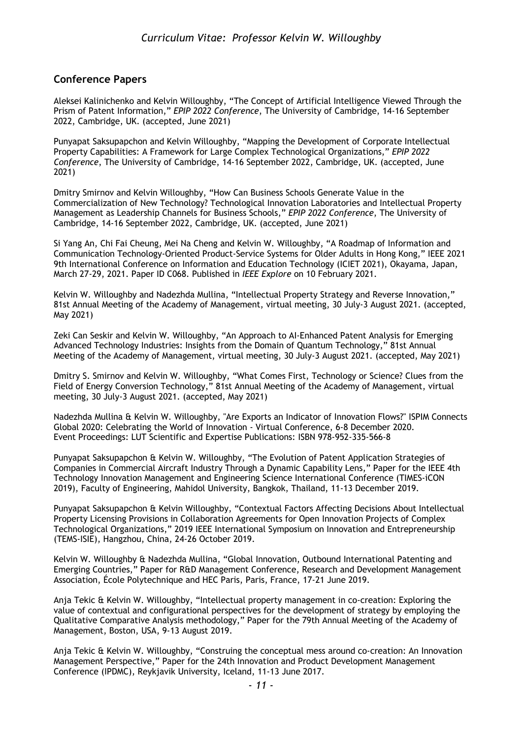### **Conference Papers**

Aleksei Kalinichenko and Kelvin Willoughby, "The Concept of Artificial Intelligence Viewed Through the Prism of Patent Information," *EPIP 2022 Conference*, The University of Cambridge, 14-16 September 2022, Cambridge, UK. (accepted, June 2021)

Punyapat Saksupapchon and Kelvin Willoughby, "Mapping the Development of Corporate Intellectual Property Capabilities: A Framework for Large Complex Technological Organizations," *EPIP 2022 Conference*, The University of Cambridge, 14-16 September 2022, Cambridge, UK. (accepted, June 2021)

Dmitry Smirnov and Kelvin Willoughby, "How Can Business Schools Generate Value in the Commercialization of New Technology? Technological Innovation Laboratories and Intellectual Property Management as Leadership Channels for Business Schools," *EPIP 2022 Conference*, The University of Cambridge, 14-16 September 2022, Cambridge, UK. (accepted, June 2021)

Si Yang An, Chi Fai Cheung, Mei Na Cheng and Kelvin W. Willoughby, "A Roadmap of Information and Communication Technology-Oriented Product-Service Systems for Older Adults in Hong Kong," IEEE 2021 9th International Conference on Information and Education Technology (ICIET 2021), Okayama, Japan, March 27-29, 2021. Paper ID C068. Published in *IEEE Explore* on 10 February 2021.

Kelvin W. Willoughby and Nadezhda Mullina, "Intellectual Property Strategy and Reverse Innovation," 81st Annual Meeting of the Academy of Management, virtual meeting, 30 July-3 August 2021. (accepted, May 2021)

Zeki Can Seskir and Kelvin W. Willoughby, "An Approach to AI-Enhanced Patent Analysis for Emerging Advanced Technology Industries: Insights from the Domain of Quantum Technology," 81st Annual Meeting of the Academy of Management, virtual meeting, 30 July-3 August 2021. (accepted, May 2021)

Dmitry S. Smirnov and Kelvin W. Willoughby, "What Comes First, Technology or Science? Clues from the Field of Energy Conversion Technology," 81st Annual Meeting of the Academy of Management, virtual meeting, 30 July-3 August 2021. (accepted, May 2021)

Nadezhda Mullina & Kelvin W. Willoughby, "Are Exports an Indicator of Innovation Flows?" ISPIM Connects Global 2020: Celebrating the World of Innovation - Virtual Conference, 6-8 December 2020. Event Proceedings: LUT Scientific and Expertise Publications: ISBN 978-952-335-566-8

Punyapat Saksupapchon & Kelvin W. Willoughby, "The Evolution of Patent Application Strategies of Companies in Commercial Aircraft Industry Through a Dynamic Capability Lens," Paper for the IEEE 4th Technology Innovation Management and Engineering Science International Conference (TIMES-iCON 2019), Faculty of Engineering, Mahidol University, Bangkok, Thailand, 11-13 December 2019.

Punyapat Saksupapchon & Kelvin Willoughby, "Contextual Factors Affecting Decisions About Intellectual Property Licensing Provisions in Collaboration Agreements for Open Innovation Projects of Complex Technological Organizations," 2019 IEEE International Symposium on Innovation and Entrepreneurship (TEMS-ISIE), Hangzhou, China, 24-26 October 2019.

Kelvin W. Willoughby & Nadezhda Mullina, "Global Innovation, Outbound International Patenting and Emerging Countries," Paper for R&D Management Conference, Research and Development Management Association, École Polytechnique and HEC Paris, Paris, France, 17-21 June 2019.

Anja Tekic & Kelvin W. Willoughby, "Intellectual property management in co-creation: Exploring the value of contextual and configurational perspectives for the development of strategy by employing the Qualitative Comparative Analysis methodology," Paper for the 79th Annual Meeting of the Academy of Management, Boston, USA, 9-13 August 2019.

Anja Tekic & Kelvin W. Willoughby, "Construing the conceptual mess around co-creation: An Innovation Management Perspective," Paper for the 24th Innovation and Product Development Management Conference (IPDMC), Reykjavik University, Iceland, 11-13 June 2017.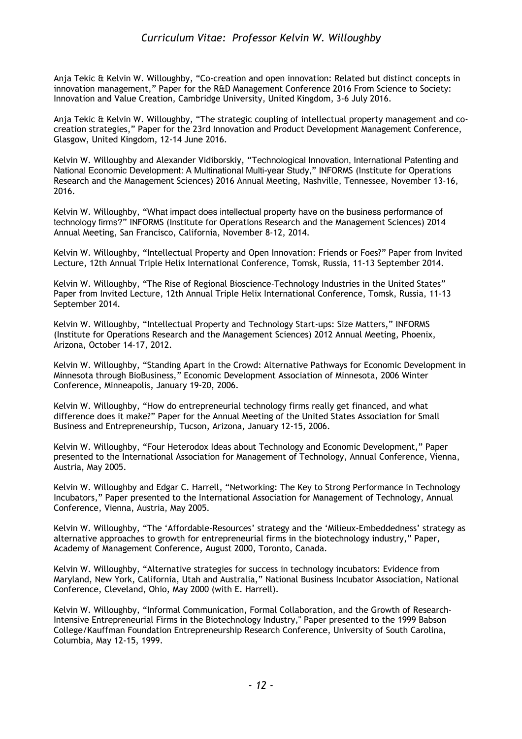Anja Tekic & Kelvin W. Willoughby, "Co-creation and open innovation: Related but distinct concepts in innovation management," Paper for the R&D Management Conference 2016 From Science to Society: Innovation and Value Creation, Cambridge University, United Kingdom, 3-6 July 2016.

Anja Tekic & Kelvin W. Willoughby, "The strategic coupling of intellectual property management and cocreation strategies," Paper for the 23rd Innovation and Product Development Management Conference, Glasgow, United Kingdom, 12-14 June 2016.

Kelvin W. Willoughby and Alexander Vidiborskiy, "Technological Innovation, International Patenting and National Economic Development: A Multinational Multi-year Study," INFORMS (Institute for Operations Research and the Management Sciences) 2016 Annual Meeting, Nashville, Tennessee, November 13-16, 2016.

Kelvin W. Willoughby, "What impact does intellectual property have on the business performance of technology firms?" INFORMS (Institute for Operations Research and the Management Sciences) 2014 Annual Meeting, San Francisco, California, November 8-12, 2014.

Kelvin W. Willoughby, "Intellectual Property and Open Innovation: Friends or Foes?" Paper from Invited Lecture, 12th Annual Triple Helix International Conference, Tomsk, Russia, 11-13 September 2014.

Kelvin W. Willoughby, "The Rise of Regional Bioscience-Technology Industries in the United States" Paper from Invited Lecture, 12th Annual Triple Helix International Conference, Tomsk, Russia, 11-13 September 2014.

Kelvin W. Willoughby, "Intellectual Property and Technology Start-ups: Size Matters," INFORMS (Institute for Operations Research and the Management Sciences) 2012 Annual Meeting, Phoenix, Arizona, October 14-17, 2012.

Kelvin W. Willoughby, "Standing Apart in the Crowd: Alternative Pathways for Economic Development in Minnesota through BioBusiness," Economic Development Association of Minnesota, 2006 Winter Conference, Minneapolis, January 19-20, 2006.

Kelvin W. Willoughby, "How do entrepreneurial technology firms really get financed, and what difference does it make?" Paper for the Annual Meeting of the United States Association for Small Business and Entrepreneurship, Tucson, Arizona, January 12-15, 2006.

Kelvin W. Willoughby, "Four Heterodox Ideas about Technology and Economic Development," Paper presented to the International Association for Management of Technology, Annual Conference, Vienna, Austria, May 2005.

Kelvin W. Willoughby and Edgar C. Harrell, "Networking: The Key to Strong Performance in Technology Incubators," Paper presented to the International Association for Management of Technology, Annual Conference, Vienna, Austria, May 2005.

Kelvin W. Willoughby, "The 'Affordable-Resources' strategy and the 'Milieux-Embeddedness' strategy as alternative approaches to growth for entrepreneurial firms in the biotechnology industry," Paper, Academy of Management Conference, August 2000, Toronto, Canada.

Kelvin W. Willoughby, "Alternative strategies for success in technology incubators: Evidence from Maryland, New York, California, Utah and Australia," National Business Incubator Association, National Conference, Cleveland, Ohio, May 2000 (with E. Harrell).

Kelvin W. Willoughby, "Informal Communication, Formal Collaboration, and the Growth of Research-Intensive Entrepreneurial Firms in the Biotechnology Industry," Paper presented to the 1999 Babson College/Kauffman Foundation Entrepreneurship Research Conference, University of South Carolina, Columbia, May 12-15, 1999.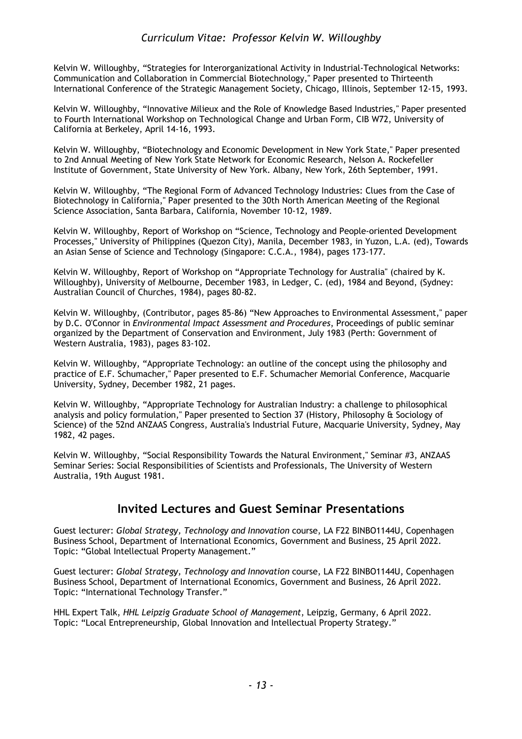Kelvin W. Willoughby, "Strategies for Interorganizational Activity in Industrial-Technological Networks: Communication and Collaboration in Commercial Biotechnology," Paper presented to Thirteenth International Conference of the Strategic Management Society, Chicago, Illinois, September 12-15, 1993.

Kelvin W. Willoughby, "Innovative Milieux and the Role of Knowledge Based Industries," Paper presented to Fourth International Workshop on Technological Change and Urban Form, CIB W72, University of California at Berkeley, April 14-16, 1993.

Kelvin W. Willoughby, "Biotechnology and Economic Development in New York State," Paper presented to 2nd Annual Meeting of New York State Network for Economic Research, Nelson A. Rockefeller Institute of Government, State University of New York. Albany, New York, 26th September, 1991.

Kelvin W. Willoughby, "The Regional Form of Advanced Technology Industries: Clues from the Case of Biotechnology in California," Paper presented to the 30th North American Meeting of the Regional Science Association, Santa Barbara, California, November 10-12, 1989.

Kelvin W. Willoughby, Report of Workshop on "Science, Technology and People-oriented Development Processes," University of Philippines (Quezon City), Manila, December 1983, in Yuzon, L.A. (ed), Towards an Asian Sense of Science and Technology (Singapore: C.C.A., 1984), pages 173-177.

Kelvin W. Willoughby, Report of Workshop on "Appropriate Technology for Australia" (chaired by K. Willoughby), University of Melbourne, December 1983, in Ledger, C. (ed), 1984 and Beyond, (Sydney: Australian Council of Churches, 1984), pages 80-82.

Kelvin W. Willoughby, (Contributor, pages 85-86) "New Approaches to Environmental Assessment," paper by D.C. O'Connor in *Environmental Impact Assessment and Procedures*, Proceedings of public seminar organized by the Department of Conservation and Environment, July 1983 (Perth: Government of Western Australia, 1983), pages 83-102.

Kelvin W. Willoughby, "Appropriate Technology: an outline of the concept using the philosophy and practice of E.F. Schumacher," Paper presented to E.F. Schumacher Memorial Conference, Macquarie University, Sydney, December 1982, 21 pages.

Kelvin W. Willoughby, "Appropriate Technology for Australian Industry: a challenge to philosophical analysis and policy formulation," Paper presented to Section 37 (History, Philosophy & Sociology of Science) of the 52nd ANZAAS Congress, Australia's Industrial Future, Macquarie University, Sydney, May 1982, 42 pages.

Kelvin W. Willoughby, "Social Responsibility Towards the Natural Environment," Seminar #3, ANZAAS Seminar Series: Social Responsibilities of Scientists and Professionals, The University of Western Australia, 19th August 1981.

## **Invited Lectures and Guest Seminar Presentations**

Guest lecturer: *Global Strategy, Technology and Innovation* course, LA F22 BINBO1144U, Copenhagen Business School, Department of International Economics, Government and Business, 25 April 2022. Topic: "Global Intellectual Property Management."

Guest lecturer: *Global Strategy, Technology and Innovation* course, LA F22 BINBO1144U, Copenhagen Business School, Department of International Economics, Government and Business, 26 April 2022. Topic: "International Technology Transfer."

HHL Expert Talk, *HHL Leipzig Graduate School of Management*, Leipzig, Germany, 6 April 2022. Topic: "Local Entrepreneurship, Global Innovation and Intellectual Property Strategy."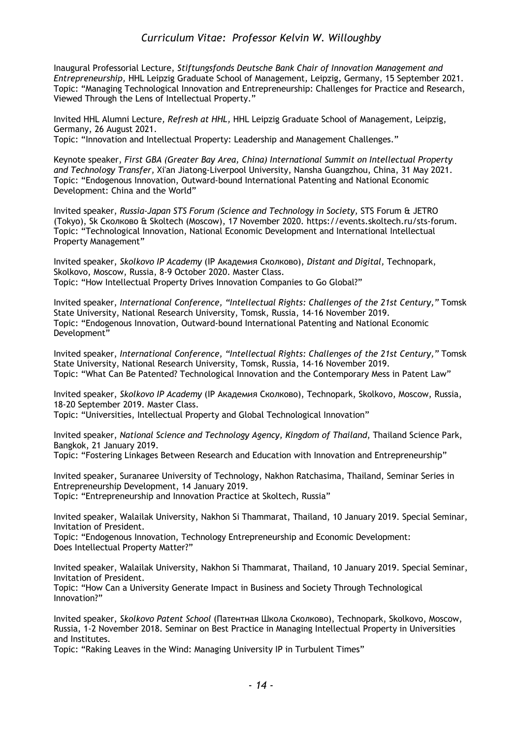Inaugural Professorial Lecture, *Stiftungsfonds Deutsche Bank Chair of Innovation Management and Entrepreneurship,* HHL Leipzig Graduate School of Management*,* Leipzig, Germany, 15 September 2021. Topic: "Managing Technological Innovation and Entrepreneurship: Challenges for Practice and Research, Viewed Through the Lens of Intellectual Property."

Invited HHL Alumni Lecture*, Refresh at HHL,* HHL Leipzig Graduate School of Management*,* Leipzig, Germany, 26 August 2021.

Topic: "Innovation and Intellectual Property: Leadership and Management Challenges."

Keynote speaker, *First GBA (Greater Bay Area, China) International Summit on Intellectual Property and Technology Transfer,* Xi'an Jiatong-Liverpool University, Nansha Guangzhou, China, 31 May 2021. Topic: "Endogenous Innovation, Outward-bound International Patenting and National Economic Development: China and the World"

Invited speaker, *Russia-Japan STS Forum (Science and Technology in Society,* STS Forum & JETRO (Tokyo), Sk Сколково & Skoltech (Moscow), 17 November 2020. https://events.skoltech.ru/sts-forum. Topic: "Technological Innovation, National Economic Development and International Intellectual Property Management"

Invited speaker, *Skolkovo IP Academy* (IP Академия Сколково), *Distant and Digital,* Technopark, Skolkovo, Moscow, Russia, 8-9 October 2020. Master Class. Topic: "How Intellectual Property Drives Innovation Companies to Go Global?"

Invited speaker, *International Conference, "Intellectual Rights: Challenges of the 21st Century,"* Tomsk State University, National Research University, Tomsk, Russia, 14-16 November 2019. Topic: "Endogenous Innovation, Outward-bound International Patenting and National Economic Development"

Invited speaker, *International Conference, "Intellectual Rights: Challenges of the 21st Century,"* Tomsk State University, National Research University, Tomsk, Russia, 14-16 November 2019. Topic: "What Can Be Patented? Technological Innovation and the Contemporary Mess in Patent Law"

Invited speaker, *Skolkovo IP Academy* (IP Академия Сколково), Technopark, Skolkovo, Moscow, Russia, 18-20 September 2019. Master Class.

Topic: "Universities, Intellectual Property and Global Technological Innovation"

Invited speaker, *National Science and Technology Agency, Kingdom of Thailand*, Thailand Science Park, Bangkok, 21 January 2019.

Topic: "Fostering Linkages Between Research and Education with Innovation and Entrepreneurship"

Invited speaker, Suranaree University of Technology, Nakhon Ratchasima, Thailand, Seminar Series in Entrepreneurship Development, 14 January 2019. Topic: "Entrepreneurship and Innovation Practice at Skoltech, Russia"

Invited speaker, Walailak University, Nakhon Si Thammarat, Thailand, 10 January 2019. Special Seminar, Invitation of President.

Topic: "Endogenous Innovation, Technology Entrepreneurship and Economic Development: Does Intellectual Property Matter?"

Invited speaker, Walailak University, Nakhon Si Thammarat, Thailand, 10 January 2019. Special Seminar, Invitation of President.

Topic: "How Can a University Generate Impact in Business and Society Through Technological Innovation?"

Invited speaker, *Skolkovo Patent School* (Патентная Школа Сколково), Technopark, Skolkovo, Moscow, Russia, 1-2 November 2018. Seminar on Best Practice in Managing Intellectual Property in Universities and Institutes.

Topic: "Raking Leaves in the Wind: Managing University IP in Turbulent Times"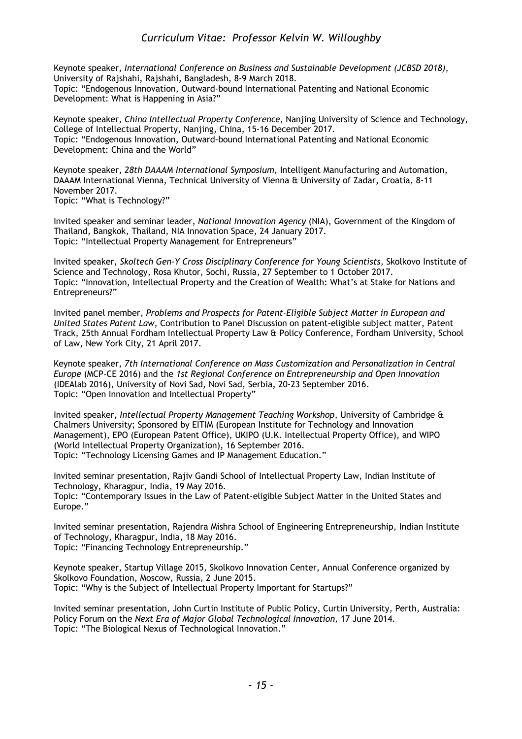Keynote speaker, *International Conference on Business and Sustainable Development (JCBSD 2018)*, University of Rajshahi, Rajshahi, Bangladesh, 8-9 March 2018. Topic: "Endogenous Innovation, Outward-bound International Patenting and National Economic Development: What is Happening in Asia?"

Keynote speaker, *China Intellectual Property Conference*, Nanjing University of Science and Technology, College of Intellectual Property, Nanjing, China, 15-16 December 2017. Topic: "Endogenous Innovation, Outward-bound International Patenting and National Economic Development: China and the World"

Keynote speaker, *28th DAAAM International Symposium,* Intelligent Manufacturing and Automation, DAAAM International Vienna, Technical University of Vienna & University of Zadar, Croatia*,* 8-11 November 2017.

Topic: "What is Technology?"

Invited speaker and seminar leader, *National Innovation Agency* (NIA), Government of the Kingdom of Thailand*,* Bangkok, Thailand, NIA Innovation Space, 24 January 2017. Topic: "Intellectual Property Management for Entrepreneurs"

Invited speaker, *Skoltech Gen-Y Cross Disciplinary Conference for Young Scientists*, Skolkovo Institute of Science and Technology, Rosa Khutor, Sochi, Russia, 27 September to 1 October 2017. Topic: "Innovation, Intellectual Property and the Creation of Wealth: What's at Stake for Nations and Entrepreneurs?"

Invited panel member, *Problems and Prospects for Patent-Eligible Subject Matter in European and United States Patent Law*, Contribution to Panel Discussion on patent-eligible subject matter, Patent Track, 25th Annual Fordham Intellectual Property Law & Policy Conference, Fordham University, School of Law, New York City, 21 April 2017.

Keynote speaker, *7th International Conference on Mass Customization and Personalization in Central Europe* (MCP-CE 2016) and the *1st Regional Conference on Entrepreneurship and Open Innovation*  (IDEAlab 2016), University of Novi Sad, Novi Sad, Serbia, 20-23 September 2016. Topic: "Open Innovation and Intellectual Property"

Invited speaker, *Intellectual Property Management Teaching Workshop*, University of Cambridge & Chalmers University; Sponsored by EITIM (European Institute for Technology and Innovation Management), EPO (European Patent Office), UKIPO (U.K. Intellectual Property Office), and WIPO (World Intellectual Property Organization), 16 September 2016. Topic: "Technology Licensing Games and IP Management Education."

Invited seminar presentation, Rajiv Gandi School of Intellectual Property Law, Indian Institute of Technology, Kharagpur*,* India, 19 May 2016. Topic: "Contemporary Issues in the Law of Patent-eligible Subject Matter in the United States and Europe."

Invited seminar presentation, Rajendra Mishra School of Engineering Entrepreneurship, Indian Institute of Technology*,* Kharagpur, India, 18 May 2016. Topic: "Financing Technology Entrepreneurship."

Keynote speaker, Startup Village 2015, Skolkovo Innovation Center, Annual Conference organized by Skolkovo Foundation, Moscow, Russia*,* 2 June 2015. Topic: "Why is the Subject of Intellectual Property Important for Startups?"

Invited seminar presentation, John Curtin Institute of Public Policy, Curtin University, Perth, Australia: Policy Forum on the *Next Era of Major Global Technological Innovation,* 17 June 2014. Topic: "The Biological Nexus of Technological Innovation."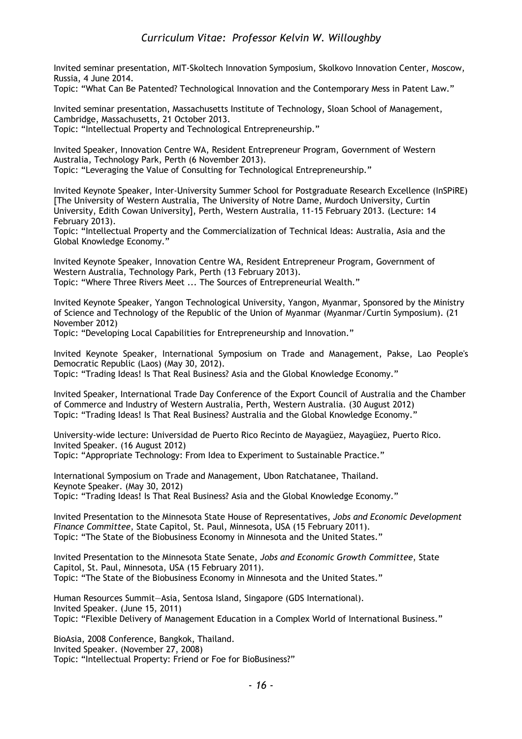Invited seminar presentation, MIT-Skoltech Innovation Symposium, Skolkovo Innovation Center, Moscow, Russia, 4 June 2014.

Topic: "What Can Be Patented? Technological Innovation and the Contemporary Mess in Patent Law."

Invited seminar presentation, Massachusetts Institute of Technology, Sloan School of Management, Cambridge, Massachusetts, 21 October 2013. Topic: "Intellectual Property and Technological Entrepreneurship."

Invited Speaker, Innovation Centre WA, Resident Entrepreneur Program, Government of Western Australia, Technology Park, Perth (6 November 2013). Topic: "Leveraging the Value of Consulting for Technological Entrepreneurship."

Invited Keynote Speaker, Inter-University Summer School for Postgraduate Research Excellence (InSPiRE) [The University of Western Australia, The University of Notre Dame, Murdoch University, Curtin University, Edith Cowan University], Perth, Western Australia, 11-15 February 2013. (Lecture: 14 February 2013).

Topic: "Intellectual Property and the Commercialization of Technical Ideas: Australia, Asia and the Global Knowledge Economy."

Invited Keynote Speaker, Innovation Centre WA, Resident Entrepreneur Program, Government of Western Australia, Technology Park, Perth (13 February 2013). Topic: "Where Three Rivers Meet ... The Sources of Entrepreneurial Wealth."

Invited Keynote Speaker, Yangon Technological University, Yangon, Myanmar, Sponsored by the Ministry of Science and Technology of the Republic of the Union of Myanmar (Myanmar/Curtin Symposium). (21 November 2012)

Topic: "Developing Local Capabilities for Entrepreneurship and Innovation."

Invited Keynote Speaker, International Symposium on Trade and Management, Pakse, Lao People's Democratic Republic (Laos) (May 30, 2012).

Topic: "Trading Ideas! Is That Real Business? Asia and the Global Knowledge Economy."

Invited Speaker, International Trade Day Conference of the Export Council of Australia and the Chamber of Commerce and Industry of Western Australia, Perth, Western Australia. (30 August 2012) Topic: "Trading Ideas! Is That Real Business? Australia and the Global Knowledge Economy."

University-wide lecture: Universidad de Puerto Rico Recinto de Mayagüez, Mayagüez, Puerto Rico. Invited Speaker. (16 August 2012)

Topic: "Appropriate Technology: From Idea to Experiment to Sustainable Practice."

International Symposium on Trade and Management, Ubon Ratchatanee, Thailand. Keynote Speaker. (May 30, 2012) Topic: "Trading Ideas! Is That Real Business? Asia and the Global Knowledge Economy."

Invited Presentation to the Minnesota State House of Representatives, *Jobs and Economic Development Finance Committee*, State Capitol, St. Paul, Minnesota, USA (15 February 2011). Topic: "The State of the Biobusiness Economy in Minnesota and the United States."

Invited Presentation to the Minnesota State Senate, *Jobs and Economic Growth Committee*, State Capitol, St. Paul, Minnesota, USA (15 February 2011). Topic: "The State of the Biobusiness Economy in Minnesota and the United States."

Human Resources Summit—Asia, Sentosa Island, Singapore (GDS International). Invited Speaker. (June 15, 2011) Topic: "Flexible Delivery of Management Education in a Complex World of International Business."

BioAsia, 2008 Conference, Bangkok, Thailand. Invited Speaker. (November 27, 2008) Topic: "Intellectual Property: Friend or Foe for BioBusiness?"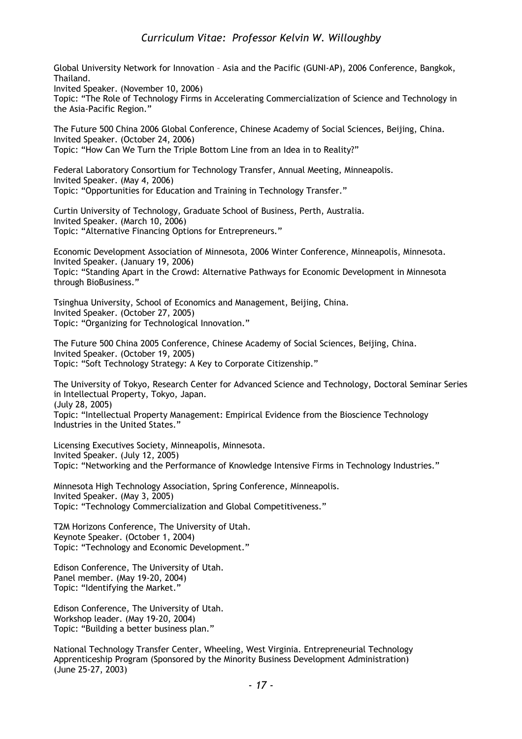Global University Network for Innovation – Asia and the Pacific (GUNI-AP), 2006 Conference, Bangkok, Thailand.

Invited Speaker. (November 10, 2006)

Topic: "The Role of Technology Firms in Accelerating Commercialization of Science and Technology in the Asia-Pacific Region."

The Future 500 China 2006 Global Conference, Chinese Academy of Social Sciences, Beijing, China. Invited Speaker. (October 24, 2006) Topic: "How Can We Turn the Triple Bottom Line from an Idea in to Reality?"

Federal Laboratory Consortium for Technology Transfer, Annual Meeting, Minneapolis. Invited Speaker. (May 4, 2006) Topic: "Opportunities for Education and Training in Technology Transfer."

Curtin University of Technology, Graduate School of Business, Perth, Australia. Invited Speaker. (March 10, 2006) Topic: "Alternative Financing Options for Entrepreneurs."

Economic Development Association of Minnesota, 2006 Winter Conference, Minneapolis, Minnesota. Invited Speaker. (January 19, 2006) Topic: "Standing Apart in the Crowd: Alternative Pathways for Economic Development in Minnesota through BioBusiness."

Tsinghua University, School of Economics and Management, Beijing, China. Invited Speaker. (October 27, 2005) Topic: "Organizing for Technological Innovation."

The Future 500 China 2005 Conference, Chinese Academy of Social Sciences, Beijing, China. Invited Speaker. (October 19, 2005) Topic: "Soft Technology Strategy: A Key to Corporate Citizenship."

The University of Tokyo, Research Center for Advanced Science and Technology, Doctoral Seminar Series in Intellectual Property, Tokyo, Japan. (July 28, 2005)

Topic: "Intellectual Property Management: Empirical Evidence from the Bioscience Technology Industries in the United States."

Licensing Executives Society, Minneapolis, Minnesota. Invited Speaker. (July 12, 2005) Topic: "Networking and the Performance of Knowledge Intensive Firms in Technology Industries."

Minnesota High Technology Association, Spring Conference, Minneapolis. Invited Speaker. (May 3, 2005) Topic: "Technology Commercialization and Global Competitiveness."

T2M Horizons Conference, The University of Utah. Keynote Speaker. (October 1, 2004) Topic: "Technology and Economic Development."

Edison Conference, The University of Utah. Panel member. (May 19-20, 2004) Topic: "Identifying the Market."

Edison Conference, The University of Utah. Workshop leader. (May 19-20, 2004) Topic: "Building a better business plan."

National Technology Transfer Center, Wheeling, West Virginia. Entrepreneurial Technology Apprenticeship Program (Sponsored by the Minority Business Development Administration) (June 25-27, 2003)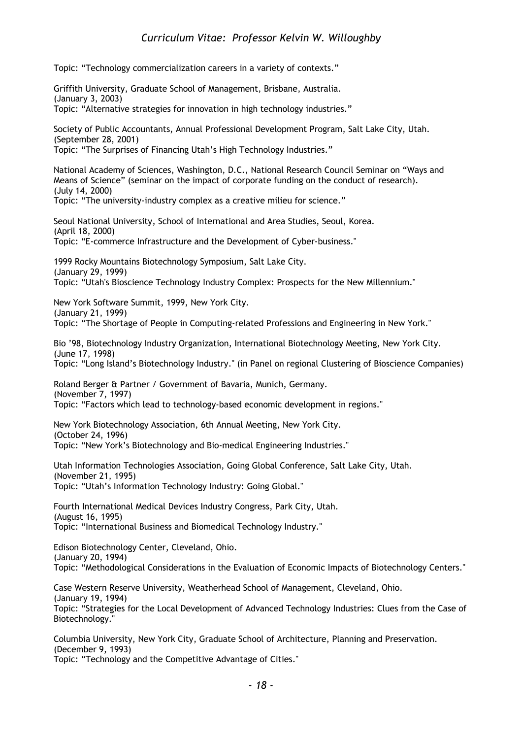Topic: "Technology commercialization careers in a variety of contexts."

Griffith University, Graduate School of Management, Brisbane, Australia. (January 3, 2003) Topic: "Alternative strategies for innovation in high technology industries." Society of Public Accountants, Annual Professional Development Program, Salt Lake City, Utah. (September 28, 2001) Topic: "The Surprises of Financing Utah's High Technology Industries." National Academy of Sciences, Washington, D.C., National Research Council Seminar on "Ways and Means of Science" (seminar on the impact of corporate funding on the conduct of research). (July 14, 2000) Topic: "The university-industry complex as a creative milieu for science." Seoul National University, School of International and Area Studies, Seoul, Korea. (April 18, 2000) Topic: "E-commerce Infrastructure and the Development of Cyber-business." 1999 Rocky Mountains Biotechnology Symposium, Salt Lake City. (January 29, 1999) Topic: "Utah's Bioscience Technology Industry Complex: Prospects for the New Millennium." New York Software Summit, 1999, New York City. (January 21, 1999) Topic: "The Shortage of People in Computing-related Professions and Engineering in New York." Bio '98, Biotechnology Industry Organization, International Biotechnology Meeting, New York City. (June 17, 1998) Topic: "Long Island's Biotechnology Industry." (in Panel on regional Clustering of Bioscience Companies) Roland Berger & Partner / Government of Bavaria, Munich, Germany. (November 7, 1997) Topic: "Factors which lead to technology-based economic development in regions." New York Biotechnology Association, 6th Annual Meeting, New York City. (October 24, 1996) Topic: "New York's Biotechnology and Bio-medical Engineering Industries." Utah Information Technologies Association, Going Global Conference, Salt Lake City, Utah. (November 21, 1995) Topic: "Utah's Information Technology Industry: Going Global." Fourth International Medical Devices Industry Congress, Park City, Utah. (August 16, 1995) Topic: "International Business and Biomedical Technology Industry." Edison Biotechnology Center, Cleveland, Ohio. (January 20, 1994) Topic: "Methodological Considerations in the Evaluation of Economic Impacts of Biotechnology Centers." Case Western Reserve University, Weatherhead School of Management, Cleveland, Ohio. (January 19, 1994) Topic: "Strategies for the Local Development of Advanced Technology Industries: Clues from the Case of Biotechnology." Columbia University, New York City, Graduate School of Architecture, Planning and Preservation. (December 9, 1993) Topic: "Technology and the Competitive Advantage of Cities."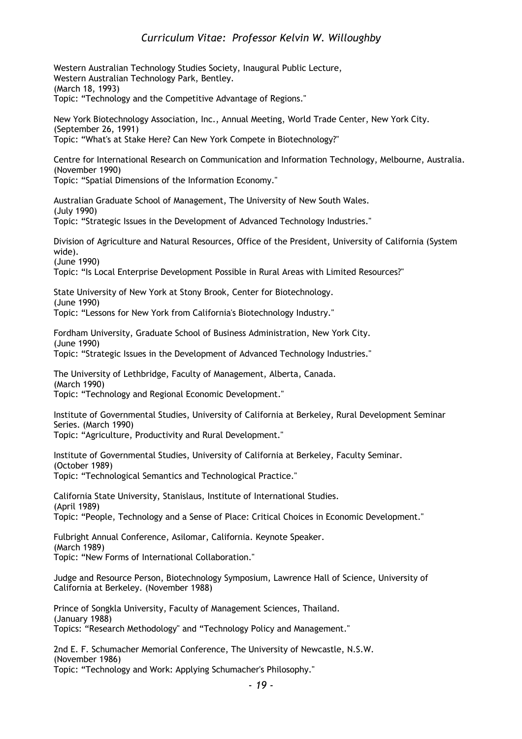Western Australian Technology Studies Society, Inaugural Public Lecture, Western Australian Technology Park, Bentley. (March 18, 1993) Topic: "Technology and the Competitive Advantage of Regions." New York Biotechnology Association, Inc., Annual Meeting, World Trade Center, New York City. (September 26, 1991) Topic: "What's at Stake Here? Can New York Compete in Biotechnology?" Centre for International Research on Communication and Information Technology, Melbourne, Australia. (November 1990) Topic: "Spatial Dimensions of the Information Economy." Australian Graduate School of Management, The University of New South Wales. (July 1990) Topic: "Strategic Issues in the Development of Advanced Technology Industries." Division of Agriculture and Natural Resources, Office of the President, University of California (System wide). (June 1990) Topic: "Is Local Enterprise Development Possible in Rural Areas with Limited Resources?" State University of New York at Stony Brook, Center for Biotechnology. (June 1990) Topic: "Lessons for New York from California's Biotechnology Industry." Fordham University, Graduate School of Business Administration, New York City. (June 1990) Topic: "Strategic Issues in the Development of Advanced Technology Industries." The University of Lethbridge, Faculty of Management, Alberta, Canada. (March 1990) Topic: "Technology and Regional Economic Development." Institute of Governmental Studies, University of California at Berkeley, Rural Development Seminar Series. (March 1990) Topic: "Agriculture, Productivity and Rural Development." Institute of Governmental Studies, University of California at Berkeley, Faculty Seminar. (October 1989) Topic: "Technological Semantics and Technological Practice." California State University, Stanislaus, Institute of International Studies. (April 1989) Topic: "People, Technology and a Sense of Place: Critical Choices in Economic Development." Fulbright Annual Conference, Asilomar, California. Keynote Speaker. (March 1989) Topic: "New Forms of International Collaboration." Judge and Resource Person, Biotechnology Symposium, Lawrence Hall of Science, University of California at Berkeley. (November 1988) Prince of Songkla University, Faculty of Management Sciences, Thailand. (January 1988) Topics: "Research Methodology" and "Technology Policy and Management." 2nd E. F. Schumacher Memorial Conference, The University of Newcastle, N.S.W. (November 1986) Topic: "Technology and Work: Applying Schumacher's Philosophy."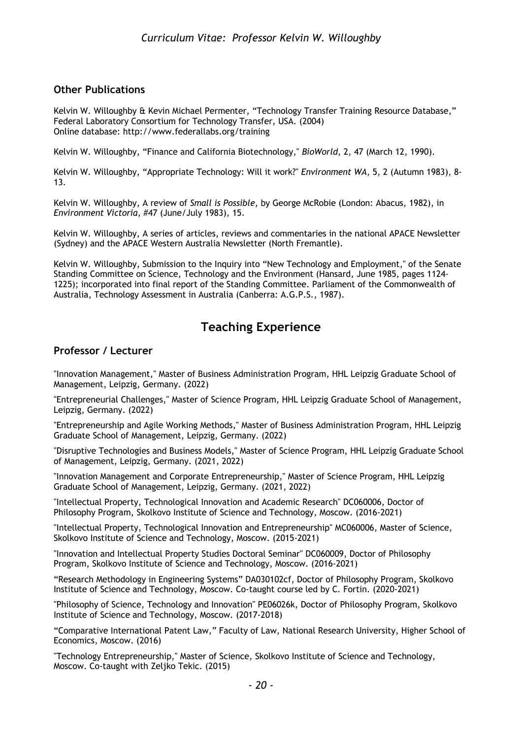#### **Other Publications**

Kelvin W. Willoughby & Kevin Michael Permenter, "Technology Transfer Training Resource Database," Federal Laboratory Consortium for Technology Transfer, USA. (2004) Online database: http://www.federallabs.org/training

Kelvin W. Willoughby, "Finance and California Biotechnology," *BioWorld*, 2, 47 (March 12, 1990).

Kelvin W. Willoughby, "Appropriate Technology: Will it work?" *Environment WA*, 5, 2 (Autumn 1983), 8- 13.

Kelvin W. Willoughby, A review of *Small is Possible*, by George McRobie (London: Abacus, 1982), in *Environment Victoria*, #47 (June/July 1983), 15.

Kelvin W. Willoughby, A series of articles, reviews and commentaries in the national APACE Newsletter (Sydney) and the APACE Western Australia Newsletter (North Fremantle).

Kelvin W. Willoughby, Submission to the Inquiry into "New Technology and Employment," of the Senate Standing Committee on Science, Technology and the Environment (Hansard, June 1985, pages 1124- 1225); incorporated into final report of the Standing Committee. Parliament of the Commonwealth of Australia, Technology Assessment in Australia (Canberra: A.G.P.S., 1987).

## **Teaching Experience**

#### **Professor / Lecturer**

"Innovation Management," Master of Business Administration Program, HHL Leipzig Graduate School of Management, Leipzig, Germany. (2022)

"Entrepreneurial Challenges," Master of Science Program, HHL Leipzig Graduate School of Management, Leipzig, Germany. (2022)

"Entrepreneurship and Agile Working Methods," Master of Business Administration Program, HHL Leipzig Graduate School of Management, Leipzig, Germany. (2022)

"Disruptive Technologies and Business Models," Master of Science Program, HHL Leipzig Graduate School of Management, Leipzig, Germany. (2021, 2022)

"Innovation Management and Corporate Entrepreneurship," Master of Science Program, HHL Leipzig Graduate School of Management, Leipzig, Germany. (2021, 2022)

"Intellectual Property, Technological Innovation and Academic Research" DC060006, Doctor of Philosophy Program, Skolkovo Institute of Science and Technology, Moscow. (2016-2021)

"Intellectual Property, Technological Innovation and Entrepreneurship" MC060006, Master of Science, Skolkovo Institute of Science and Technology, Moscow. (2015-2021)

"Innovation and Intellectual Property Studies Doctoral Seminar" DC060009, Doctor of Philosophy Program, Skolkovo Institute of Science and Technology, Moscow. (2016-2021)

"Research Methodology in Engineering Systems" DA030102cf, Doctor of Philosophy Program, Skolkovo Institute of Science and Technology, Moscow. Co-taught course led by C. Fortin. (2020-2021)

"Philosophy of Science, Technology and Innovation" PE06026k, Doctor of Philosophy Program, Skolkovo Institute of Science and Technology, Moscow. (2017-2018)

"Comparative International Patent Law," Faculty of Law, National Research University, Higher School of Economics, Moscow. (2016)

"Technology Entrepreneurship," Master of Science, Skolkovo Institute of Science and Technology, Moscow. Co-taught with Zeljko Tekic. (2015)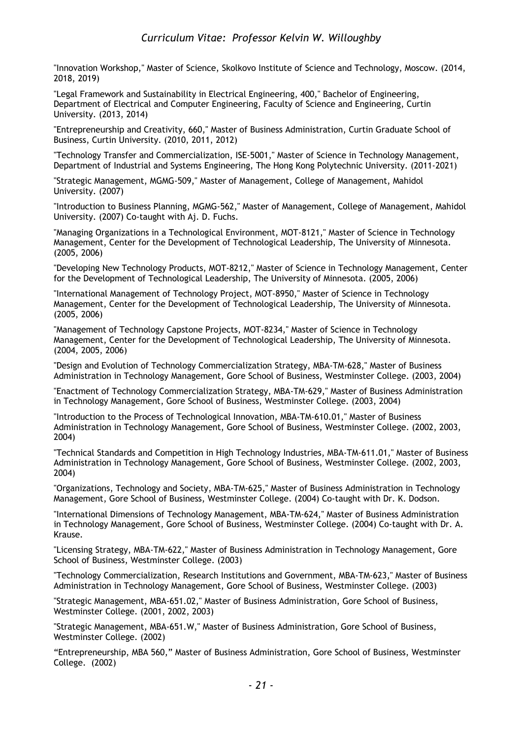"Innovation Workshop," Master of Science, Skolkovo Institute of Science and Technology, Moscow. (2014, 2018, 2019)

"Legal Framework and Sustainability in Electrical Engineering, 400," Bachelor of Engineering, Department of Electrical and Computer Engineering, Faculty of Science and Engineering, Curtin University. (2013, 2014)

"Entrepreneurship and Creativity, 660," Master of Business Administration, Curtin Graduate School of Business, Curtin University. (2010, 2011, 2012)

"Technology Transfer and Commercialization, ISE-5001," Master of Science in Technology Management, Department of Industrial and Systems Engineering, The Hong Kong Polytechnic University. (2011-2021)

"Strategic Management, MGMG-509," Master of Management, College of Management, Mahidol University. (2007)

"Introduction to Business Planning, MGMG-562," Master of Management, College of Management, Mahidol University. (2007) Co-taught with Aj. D. Fuchs.

"Managing Organizations in a Technological Environment, MOT-8121," Master of Science in Technology Management, Center for the Development of Technological Leadership, The University of Minnesota. (2005, 2006)

"Developing New Technology Products, MOT-8212," Master of Science in Technology Management, Center for the Development of Technological Leadership, The University of Minnesota. (2005, 2006)

"International Management of Technology Project, MOT-8950," Master of Science in Technology Management, Center for the Development of Technological Leadership, The University of Minnesota. (2005, 2006)

"Management of Technology Capstone Projects, MOT-8234," Master of Science in Technology Management, Center for the Development of Technological Leadership, The University of Minnesota. (2004, 2005, 2006)

"Design and Evolution of Technology Commercialization Strategy, MBA-TM-628," Master of Business Administration in Technology Management, Gore School of Business, Westminster College. (2003, 2004)

"Enactment of Technology Commercialization Strategy, MBA-TM-629," Master of Business Administration in Technology Management, Gore School of Business, Westminster College. (2003, 2004)

"Introduction to the Process of Technological Innovation, MBA-TM-610.01," Master of Business Administration in Technology Management, Gore School of Business, Westminster College. (2002, 2003, 2004)

"Technical Standards and Competition in High Technology Industries, MBA-TM-611.01," Master of Business Administration in Technology Management, Gore School of Business, Westminster College. (2002, 2003, 2004)

"Organizations, Technology and Society, MBA-TM-625," Master of Business Administration in Technology Management, Gore School of Business, Westminster College. (2004) Co-taught with Dr. K. Dodson.

"International Dimensions of Technology Management, MBA-TM-624," Master of Business Administration in Technology Management, Gore School of Business, Westminster College. (2004) Co-taught with Dr. A. Krause.

"Licensing Strategy, MBA-TM-622," Master of Business Administration in Technology Management, Gore School of Business, Westminster College. (2003)

"Technology Commercialization, Research Institutions and Government, MBA-TM-623," Master of Business Administration in Technology Management, Gore School of Business, Westminster College. (2003)

"Strategic Management, MBA-651.02," Master of Business Administration, Gore School of Business, Westminster College. (2001, 2002, 2003)

"Strategic Management, MBA-651.W," Master of Business Administration, Gore School of Business, Westminster College. (2002)

"Entrepreneurship, MBA 560," Master of Business Administration, Gore School of Business, Westminster College. (2002)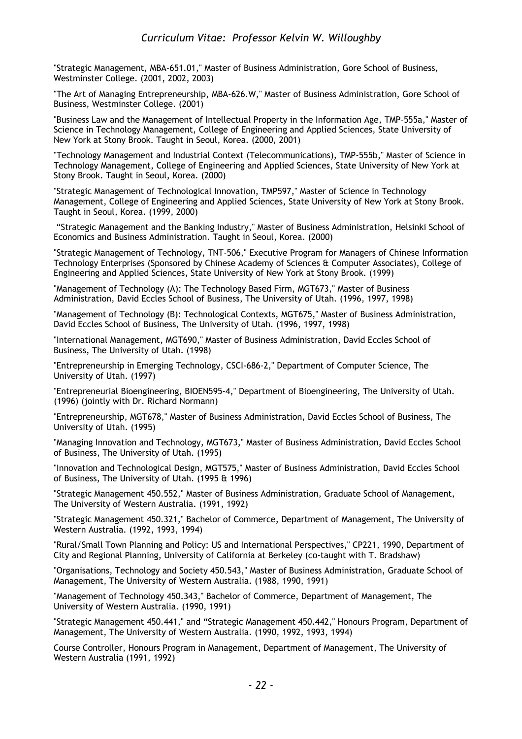"Strategic Management, MBA-651.01," Master of Business Administration, Gore School of Business, Westminster College. (2001, 2002, 2003)

"The Art of Managing Entrepreneurship, MBA-626.W," Master of Business Administration, Gore School of Business, Westminster College. (2001)

"Business Law and the Management of Intellectual Property in the Information Age, TMP-555a," Master of Science in Technology Management, College of Engineering and Applied Sciences, State University of New York at Stony Brook. Taught in Seoul, Korea. (2000, 2001)

"Technology Management and Industrial Context (Telecommunications), TMP-555b," Master of Science in Technology Management, College of Engineering and Applied Sciences, State University of New York at Stony Brook. Taught in Seoul, Korea. (2000)

"Strategic Management of Technological Innovation, TMP597," Master of Science in Technology Management, College of Engineering and Applied Sciences, State University of New York at Stony Brook. Taught in Seoul, Korea. (1999, 2000)

"Strategic Management and the Banking Industry," Master of Business Administration, Helsinki School of Economics and Business Administration. Taught in Seoul, Korea. (2000)

"Strategic Management of Technology, TNT-506," Executive Program for Managers of Chinese Information Technology Enterprises (Sponsored by Chinese Academy of Sciences & Computer Associates), College of Engineering and Applied Sciences, State University of New York at Stony Brook. (1999)

"Management of Technology (A): The Technology Based Firm, MGT673," Master of Business Administration, David Eccles School of Business, The University of Utah. (1996, 1997, 1998)

"Management of Technology (B): Technological Contexts, MGT675," Master of Business Administration, David Eccles School of Business, The University of Utah. (1996, 1997, 1998)

"International Management, MGT690," Master of Business Administration, David Eccles School of Business, The University of Utah. (1998)

"Entrepreneurship in Emerging Technology, CSCI-686-2," Department of Computer Science, The University of Utah. (1997)

"Entrepreneurial Bioengineering, BIOEN595-4," Department of Bioengineering, The University of Utah. (1996) (jointly with Dr. Richard Normann)

"Entrepreneurship, MGT678," Master of Business Administration, David Eccles School of Business, The University of Utah. (1995)

"Managing Innovation and Technology, MGT673," Master of Business Administration, David Eccles School of Business, The University of Utah. (1995)

"Innovation and Technological Design, MGT575," Master of Business Administration, David Eccles School of Business, The University of Utah. (1995 & 1996)

"Strategic Management 450.552," Master of Business Administration, Graduate School of Management, The University of Western Australia. (1991, 1992)

"Strategic Management 450.321," Bachelor of Commerce, Department of Management, The University of Western Australia. (1992, 1993, 1994)

"Rural/Small Town Planning and Policy: US and International Perspectives," CP221, 1990, Department of City and Regional Planning, University of California at Berkeley (co-taught with T. Bradshaw)

"Organisations, Technology and Society 450.543," Master of Business Administration, Graduate School of Management, The University of Western Australia. (1988, 1990, 1991)

"Management of Technology 450.343," Bachelor of Commerce, Department of Management, The University of Western Australia. (1990, 1991)

"Strategic Management 450.441," and "Strategic Management 450.442," Honours Program, Department of Management, The University of Western Australia. (1990, 1992, 1993, 1994)

Course Controller, Honours Program in Management, Department of Management, The University of Western Australia (1991, 1992)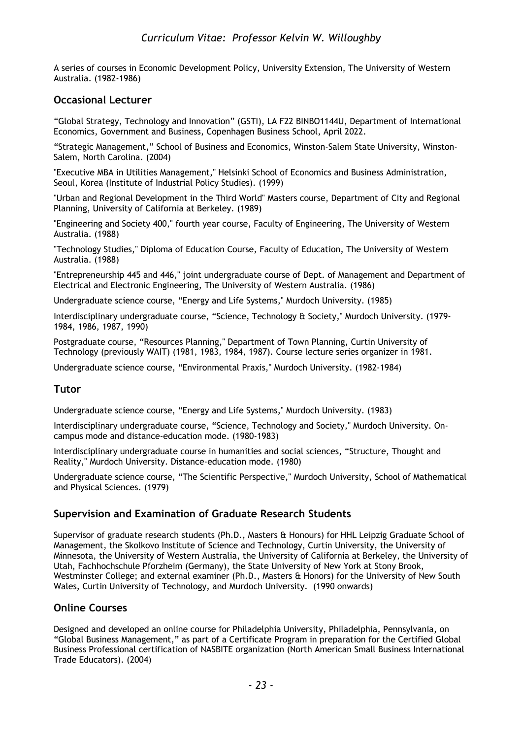A series of courses in Economic Development Policy, University Extension, The University of Western Australia. (1982-1986)

### **Occasional Lecturer**

"Global Strategy, Technology and Innovation" (GSTI), LA F22 BINBO1144U, Department of International Economics, Government and Business, Copenhagen Business School, April 2022.

"Strategic Management," School of Business and Economics, Winston-Salem State University, Winston-Salem, North Carolina. (2004)

"Executive MBA in Utilities Management," Helsinki School of Economics and Business Administration, Seoul, Korea (Institute of Industrial Policy Studies). (1999)

"Urban and Regional Development in the Third World" Masters course, Department of City and Regional Planning, University of California at Berkeley. (1989)

"Engineering and Society 400," fourth year course, Faculty of Engineering, The University of Western Australia. (1988)

"Technology Studies," Diploma of Education Course, Faculty of Education, The University of Western Australia. (1988)

"Entrepreneurship 445 and 446," joint undergraduate course of Dept. of Management and Department of Electrical and Electronic Engineering, The University of Western Australia. (1986)

Undergraduate science course, "Energy and Life Systems," Murdoch University. (1985)

Interdisciplinary undergraduate course, "Science, Technology & Society," Murdoch University. (1979- 1984, 1986, 1987, 1990)

Postgraduate course, "Resources Planning," Department of Town Planning, Curtin University of Technology (previously WAIT) (1981, 1983, 1984, 1987). Course lecture series organizer in 1981.

Undergraduate science course, "Environmental Praxis," Murdoch University. (1982-1984)

### **Tutor**

Undergraduate science course, "Energy and Life Systems," Murdoch University. (1983)

Interdisciplinary undergraduate course, "Science, Technology and Society," Murdoch University. Oncampus mode and distance-education mode. (1980-1983)

Interdisciplinary undergraduate course in humanities and social sciences, "Structure, Thought and Reality," Murdoch University. Distance-education mode. (1980)

Undergraduate science course, "The Scientific Perspective," Murdoch University, School of Mathematical and Physical Sciences. (1979)

### **Supervision and Examination of Graduate Research Students**

Supervisor of graduate research students (Ph.D., Masters & Honours) for HHL Leipzig Graduate School of Management, the Skolkovo Institute of Science and Technology, Curtin University, the University of Minnesota, the University of Western Australia, the University of California at Berkeley, the University of Utah, Fachhochschule Pforzheim (Germany), the State University of New York at Stony Brook, Westminster College; and external examiner (Ph.D., Masters & Honors) for the University of New South Wales, Curtin University of Technology, and Murdoch University. (1990 onwards)

### **Online Courses**

Designed and developed an online course for Philadelphia University, Philadelphia, Pennsylvania, on "Global Business Management," as part of a Certificate Program in preparation for the Certified Global Business Professional certification of NASBITE organization (North American Small Business International Trade Educators). (2004)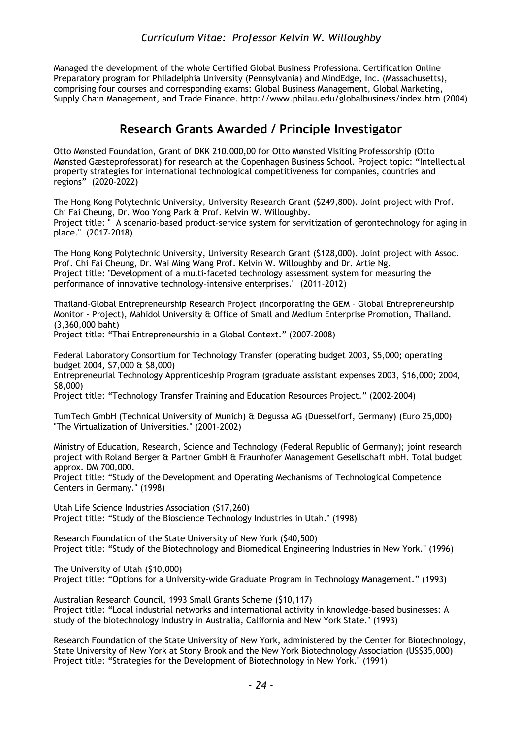Managed the development of the whole Certified Global Business Professional Certification Online Preparatory program for Philadelphia University (Pennsylvania) and MindEdge, Inc. (Massachusetts), comprising four courses and corresponding exams: Global Business Management, Global Marketing, Supply Chain Management, and Trade Finance. http://www.philau.edu/globalbusiness/index.htm (2004)

### **Research Grants Awarded / Principle Investigator**

Otto Mønsted Foundation, Grant of DKK 210.000,00 for Otto Mønsted Visiting Professorship (Otto Mønsted Gæsteprofessorat) for research at the Copenhagen Business School. Project topic: "Intellectual property strategies for international technological competitiveness for companies, countries and regions" (2020-2022)

The Hong Kong Polytechnic University, University Research Grant (\$249,800). Joint project with Prof. Chi Fai Cheung, Dr. Woo Yong Park & Prof. Kelvin W. Willoughby. Project title: " A scenario-based product-service system for servitization of gerontechnology for aging in place." (2017-2018)

The Hong Kong Polytechnic University, University Research Grant (\$128,000). Joint project with Assoc. Prof. Chi Fai Cheung, Dr. Wai Ming Wang Prof. Kelvin W. Willoughby and Dr. Artie Ng. Project title: "Development of a multi-faceted technology assessment system for measuring the performance of innovative technology-intensive enterprises." (2011-2012)

Thailand-Global Entrepreneurship Research Project (incorporating the GEM – Global Entrepreneurship Monitor - Project), Mahidol University & Office of Small and Medium Enterprise Promotion, Thailand. (3,360,000 baht)

Project title: "Thai Entrepreneurship in a Global Context." (2007-2008)

Federal Laboratory Consortium for Technology Transfer (operating budget 2003, \$5,000; operating budget 2004, \$7,000 & \$8,000)

Entrepreneurial Technology Apprenticeship Program (graduate assistant expenses 2003, \$16,000; 2004, \$8,000)

Project title: "Technology Transfer Training and Education Resources Project." (2002-2004)

TumTech GmbH (Technical University of Munich) & Degussa AG (Duesselforf, Germany) (Euro 25,000) "The Virtualization of Universities." (2001-2002)

Ministry of Education, Research, Science and Technology (Federal Republic of Germany); joint research project with Roland Berger & Partner GmbH & Fraunhofer Management Gesellschaft mbH. Total budget approx. DM 700,000.

Project title: "Study of the Development and Operating Mechanisms of Technological Competence Centers in Germany." (1998)

Utah Life Science Industries Association (\$17,260) Project title: "Study of the Bioscience Technology Industries in Utah." (1998)

Research Foundation of the State University of New York (\$40,500) Project title: "Study of the Biotechnology and Biomedical Engineering Industries in New York." (1996)

The University of Utah (\$10,000) Project title: "Options for a University-wide Graduate Program in Technology Management." (1993)

Australian Research Council, 1993 Small Grants Scheme (\$10,117) Project title: "Local industrial networks and international activity in knowledge-based businesses: A study of the biotechnology industry in Australia, California and New York State." (1993)

Research Foundation of the State University of New York, administered by the Center for Biotechnology, State University of New York at Stony Brook and the New York Biotechnology Association (US\$35,000) Project title: "Strategies for the Development of Biotechnology in New York." (1991)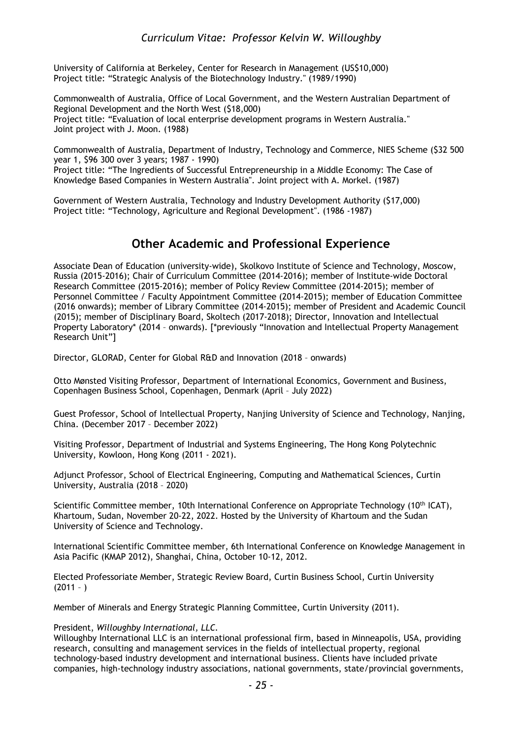University of California at Berkeley, Center for Research in Management (US\$10,000) Project title: "Strategic Analysis of the Biotechnology Industry." (1989/1990)

Commonwealth of Australia, Office of Local Government, and the Western Australian Department of Regional Development and the North West (\$18,000) Project title: "Evaluation of local enterprise development programs in Western Australia." Joint project with J. Moon. (1988)

Commonwealth of Australia, Department of Industry, Technology and Commerce, NIES Scheme (\$32 500 year 1, \$96 300 over 3 years; 1987 - 1990)

Project title: "The Ingredients of Successful Entrepreneurship in a Middle Economy: The Case of Knowledge Based Companies in Western Australia". Joint project with A. Morkel. (1987)

Government of Western Australia, Technology and Industry Development Authority (\$17,000) Project title: "Technology, Agriculture and Regional Development". (1986 -1987)

### **Other Academic and Professional Experience**

Associate Dean of Education (university-wide), Skolkovo Institute of Science and Technology, Moscow, Russia (2015-2016); Chair of Curriculum Committee (2014-2016); member of Institute-wide Doctoral Research Committee (2015-2016); member of Policy Review Committee (2014-2015); member of Personnel Committee / Faculty Appointment Committee (2014-2015); member of Education Committee (2016 onwards); member of Library Committee (2014-2015); member of President and Academic Council (2015); member of Disciplinary Board, Skoltech (2017-2018); Director, Innovation and Intellectual Property Laboratory\* (2014 – onwards). [\*previously "Innovation and Intellectual Property Management Research Unit"]

Director, GLORAD, Center for Global R&D and Innovation (2018 – onwards)

Otto Mønsted Visiting Professor, Department of International Economics, Government and Business, Copenhagen Business School, Copenhagen, Denmark (April – July 2022)

Guest Professor, School of Intellectual Property, Nanjing University of Science and Technology, Nanjing, China. (December 2017 – December 2022)

Visiting Professor, Department of Industrial and Systems Engineering, The Hong Kong Polytechnic University, Kowloon, Hong Kong (2011 - 2021).

Adjunct Professor, School of Electrical Engineering, Computing and Mathematical Sciences, Curtin University, Australia (2018 – 2020)

Scientific Committee member, 10th International Conference on Appropriate Technology (10<sup>th</sup> ICAT), Khartoum, Sudan, November 20-22, 2022. Hosted by the University of Khartoum and the Sudan University of Science and Technology.

International Scientific Committee member, 6th International Conference on Knowledge Management in Asia Pacific (KMAP 2012), Shanghai, China, October 10-12, 2012.

Elected Professoriate Member, Strategic Review Board, Curtin Business School, Curtin University  $(2011 - )$ 

Member of Minerals and Energy Strategic Planning Committee, Curtin University (2011).

#### President, *Willoughby International, LLC.*

Willoughby International LLC is an international professional firm, based in Minneapolis, USA, providing research, consulting and management services in the fields of intellectual property, regional technology-based industry development and international business. Clients have included private companies, high-technology industry associations, national governments, state/provincial governments,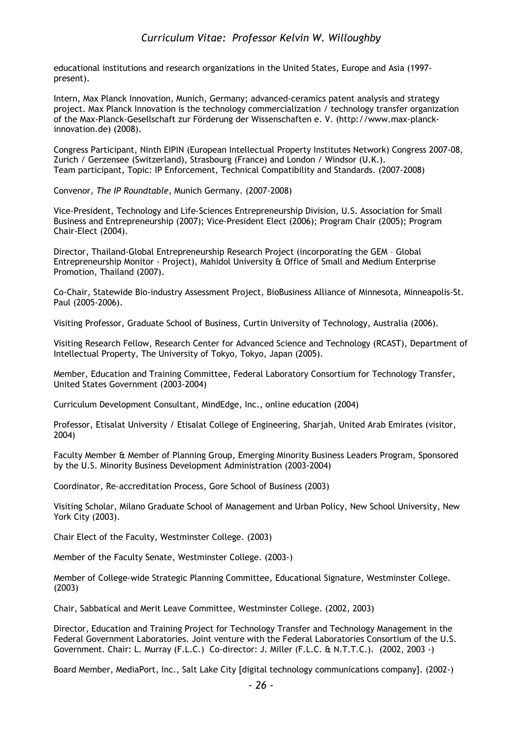educational institutions and research organizations in the United States, Europe and Asia (1997 present).

Intern, Max Planck Innovation, Munich, Germany; advanced-ceramics patent analysis and strategy project. Max Planck Innovation is the technology commercialization / technology transfer organization of the Max-Planck-Gesellschaft zur Förderung der Wissenschaften e. V. (http://www.max-planckinnovation.de) (2008).

Congress Participant, Ninth EIPIN (European Intellectual Property Institutes Network) Congress 2007-08, Zurich / Gerzensee (Switzerland), Strasbourg (France) and London / Windsor (U.K.). Team participant, Topic: IP Enforcement, Technical Compatibility and Standards. (2007-2008)

Convenor, *The IP Roundtable*, Munich Germany. (2007-2008)

Vice-President, Technology and Life-Sciences Entrepreneurship Division, U.S. Association for Small Business and Entrepreneurship (2007); Vice-President Elect (2006); Program Chair (2005); Program Chair-Elect (2004).

Director, Thailand-Global Entrepreneurship Research Project (incorporating the GEM – Global Entrepreneurship Monitor - Project), Mahidol University & Office of Small and Medium Enterprise Promotion, Thailand (2007).

Co-Chair, Statewide Bio-industry Assessment Project, BioBusiness Alliance of Minnesota, Minneapolis-St. Paul (2005-2006).

Visiting Professor, Graduate School of Business, Curtin University of Technology, Australia (2006).

Visiting Research Fellow, Research Center for Advanced Science and Technology (RCAST), Department of Intellectual Property, The University of Tokyo, Tokyo, Japan (2005).

Member, Education and Training Committee, Federal Laboratory Consortium for Technology Transfer, United States Government (2003-2004)

Curriculum Development Consultant, MindEdge, Inc., online education (2004)

Professor, Etisalat University / Etisalat College of Engineering, Sharjah, United Arab Emirates (visitor, 2004)

Faculty Member & Member of Planning Group, Emerging Minority Business Leaders Program, Sponsored by the U.S. Minority Business Development Administration (2003-2004)

Coordinator, Re-accreditation Process, Gore School of Business (2003)

Visiting Scholar, Milano Graduate School of Management and Urban Policy, New School University, New York City (2003).

Chair Elect of the Faculty, Westminster College. (2003)

Member of the Faculty Senate, Westminster College. (2003-)

Member of College-wide Strategic Planning Committee, Educational Signature, Westminster College. (2003)

Chair, Sabbatical and Merit Leave Committee, Westminster College. (2002, 2003)

Director, Education and Training Project for Technology Transfer and Technology Management in the Federal Government Laboratories. Joint venture with the Federal Laboratories Consortium of the U.S. Government. Chair: L. Murray (F.L.C.) Co-director: J. Miller (F.L.C. & N.T.T.C.). (2002, 2003 -)

Board Member, MediaPort, Inc., Salt Lake City [digital technology communications company]. (2002-)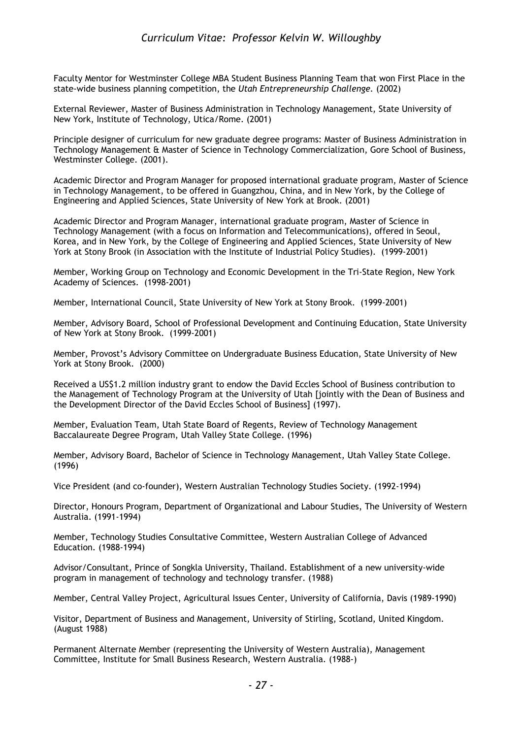Faculty Mentor for Westminster College MBA Student Business Planning Team that won First Place in the state-wide business planning competition, the *Utah Entrepreneurship Challenge.* (2002)

External Reviewer, Master of Business Administration in Technology Management, State University of New York, Institute of Technology, Utica/Rome. (2001)

Principle designer of curriculum for new graduate degree programs: Master of Business Administration in Technology Management & Master of Science in Technology Commercialization, Gore School of Business, Westminster College. (2001).

Academic Director and Program Manager for proposed international graduate program, Master of Science in Technology Management, to be offered in Guangzhou, China, and in New York, by the College of Engineering and Applied Sciences, State University of New York at Brook. (2001)

Academic Director and Program Manager, international graduate program, Master of Science in Technology Management (with a focus on Information and Telecommunications), offered in Seoul, Korea, and in New York, by the College of Engineering and Applied Sciences, State University of New York at Stony Brook (in Association with the Institute of Industrial Policy Studies). (1999-2001)

Member, Working Group on Technology and Economic Development in the Tri-State Region, New York Academy of Sciences. (1998-2001)

Member, International Council, State University of New York at Stony Brook. (1999-2001)

Member, Advisory Board, School of Professional Development and Continuing Education, State University of New York at Stony Brook. (1999-2001)

Member, Provost's Advisory Committee on Undergraduate Business Education, State University of New York at Stony Brook. (2000)

Received a US\$1.2 million industry grant to endow the David Eccles School of Business contribution to the Management of Technology Program at the University of Utah [jointly with the Dean of Business and the Development Director of the David Eccles School of Business] (1997).

Member, Evaluation Team, Utah State Board of Regents, Review of Technology Management Baccalaureate Degree Program, Utah Valley State College. (1996)

Member, Advisory Board, Bachelor of Science in Technology Management, Utah Valley State College. (1996)

Vice President (and co-founder), Western Australian Technology Studies Society. (1992-1994)

Director, Honours Program, Department of Organizational and Labour Studies, The University of Western Australia. (1991-1994)

Member, Technology Studies Consultative Committee, Western Australian College of Advanced Education. (1988-1994)

Advisor/Consultant, Prince of Songkla University, Thailand. Establishment of a new university-wide program in management of technology and technology transfer. (1988)

Member, Central Valley Project, Agricultural Issues Center, University of California, Davis (1989-1990)

Visitor, Department of Business and Management, University of Stirling, Scotland, United Kingdom. (August 1988)

Permanent Alternate Member (representing the University of Western Australia), Management Committee, Institute for Small Business Research, Western Australia. (1988-)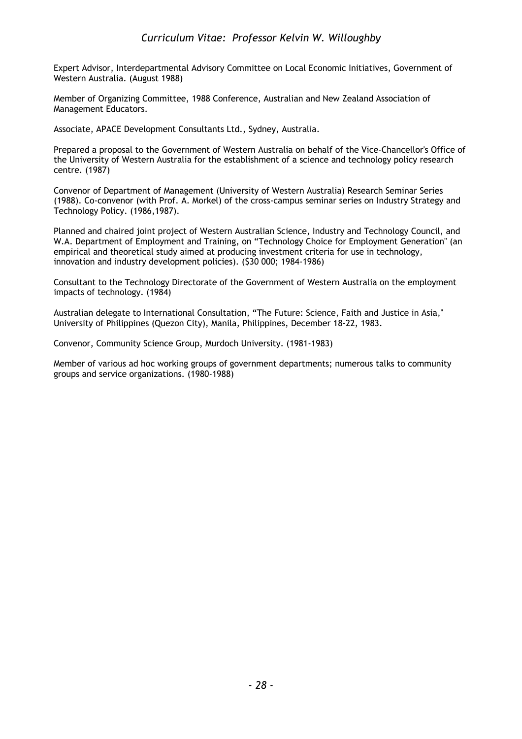Expert Advisor, Interdepartmental Advisory Committee on Local Economic Initiatives, Government of Western Australia. (August 1988)

Member of Organizing Committee, 1988 Conference, Australian and New Zealand Association of Management Educators.

Associate, APACE Development Consultants Ltd., Sydney, Australia.

Prepared a proposal to the Government of Western Australia on behalf of the Vice-Chancellor's Office of the University of Western Australia for the establishment of a science and technology policy research centre. (1987)

Convenor of Department of Management (University of Western Australia) Research Seminar Series (1988). Co-convenor (with Prof. A. Morkel) of the cross-campus seminar series on Industry Strategy and Technology Policy. (1986,1987).

Planned and chaired joint project of Western Australian Science, Industry and Technology Council, and W.A. Department of Employment and Training, on "Technology Choice for Employment Generation" (an empirical and theoretical study aimed at producing investment criteria for use in technology, innovation and industry development policies). (\$30 000; 1984-1986)

Consultant to the Technology Directorate of the Government of Western Australia on the employment impacts of technology. (1984)

Australian delegate to International Consultation, "The Future: Science, Faith and Justice in Asia," University of Philippines (Quezon City), Manila, Philippines, December 18-22, 1983.

Convenor, Community Science Group, Murdoch University. (1981-1983)

Member of various ad hoc working groups of government departments; numerous talks to community groups and service organizations. (1980-1988)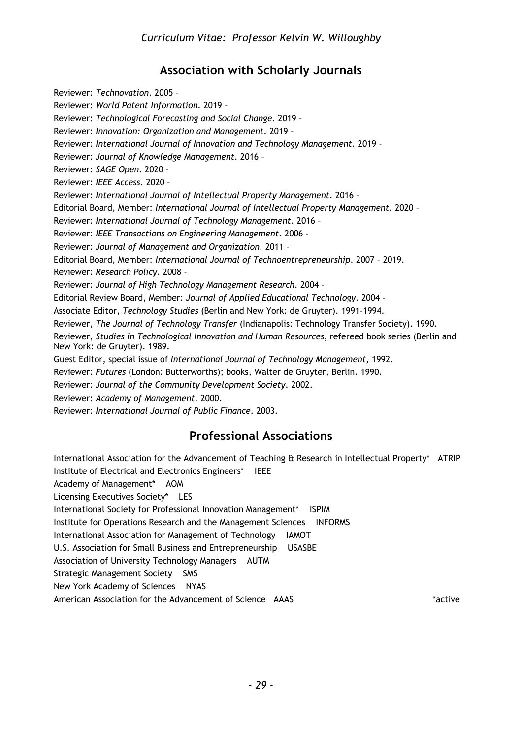# **Association with Scholarly Journals**

Reviewer: *Technovation*. 2005 – Reviewer: *World Patent Information*. 2019 – Reviewer: *Technological Forecasting and Social Change*. 2019 – Reviewer: *Innovation: Organization and Management*. 2019 – Reviewer: *International Journal of Innovation and Technology Management*. 2019 - Reviewer: *Journal of Knowledge Management*. 2016 – Reviewer: *SAGE Open*. 2020 – Reviewer: *IEEE Access*. 2020 – Reviewer: *International Journal of Intellectual Property Management*. 2016 – Editorial Board, Member: *International Journal of Intellectual Property Management*. 2020 – Reviewer: *International Journal of Technology Management*. 2016 – Reviewer: *IEEE Transactions on Engineering Management*. 2006 - Reviewer: *Journal of Management and Organization*. 2011 – Editorial Board, Member: *International Journal of Technoentrepreneurship*. 2007 – 2019. Reviewer: *Research Policy*. 2008 - Reviewer: *Journal of High Technology Management Research*. 2004 - Editorial Review Board, Member: *Journal of Applied Educational Technology*. 2004 - Associate Editor, *Technology Studies* (Berlin and New York: de Gruyter). 1991-1994. Reviewer, *The Journal of Technology Transfer* (Indianapolis: Technology Transfer Society). 1990. Reviewer, *Studies in Technological Innovation and Human Resources*, refereed book series (Berlin and New York: de Gruyter). 1989. Guest Editor, special issue of *International Journal of Technology Management*, 1992. Reviewer: *Futures* (London: Butterworths); books, Walter de Gruyter, Berlin. 1990. Reviewer: *Journal of the Community Development Society*. 2002. Reviewer: *Academy of Management*. 2000. Reviewer: *International Journal of Public Finance*. 2003.

# **Professional Associations**

International Association for the Advancement of Teaching & Research in Intellectual Property\* ATRIP Institute of Electrical and Electronics Engineers\* IEEE Academy of Management\* AOM Licensing Executives Society\* LES International Society for Professional Innovation Management\* ISPIM Institute for Operations Research and the Management Sciences INFORMS International Association for Management of Technology IAMOT U.S. Association for Small Business and Entrepreneurship USASBE Association of University Technology Managers AUTM Strategic Management Society SMS New York Academy of Sciences NYAS American Association for the Advancement of Science AAAS \*active